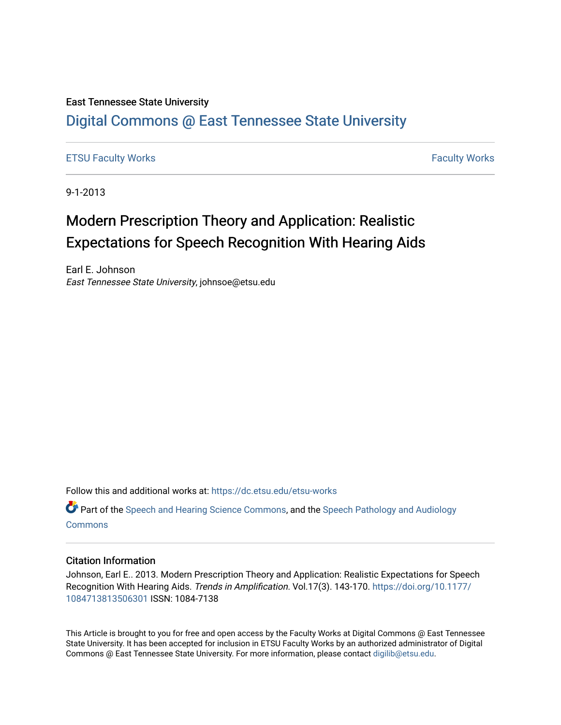## East Tennessee State University

## [Digital Commons @ East Tennessee State University](https://dc.etsu.edu/)

## [ETSU Faculty Works](https://dc.etsu.edu/etsu-works) **Faculty Works** [Faculty Works](https://dc.etsu.edu/faculty-works) **Faculty Works**

9-1-2013

# Modern Prescription Theory and Application: Realistic Expectations for Speech Recognition With Hearing Aids

Earl E. Johnson East Tennessee State University, johnsoe@etsu.edu

Follow this and additional works at: [https://dc.etsu.edu/etsu-works](https://dc.etsu.edu/etsu-works?utm_source=dc.etsu.edu%2Fetsu-works%2F1705&utm_medium=PDF&utm_campaign=PDFCoverPages) 

Part of the [Speech and Hearing Science Commons](http://network.bepress.com/hgg/discipline/1033?utm_source=dc.etsu.edu%2Fetsu-works%2F1705&utm_medium=PDF&utm_campaign=PDFCoverPages), and the [Speech Pathology and Audiology](http://network.bepress.com/hgg/discipline/1035?utm_source=dc.etsu.edu%2Fetsu-works%2F1705&utm_medium=PDF&utm_campaign=PDFCoverPages) [Commons](http://network.bepress.com/hgg/discipline/1035?utm_source=dc.etsu.edu%2Fetsu-works%2F1705&utm_medium=PDF&utm_campaign=PDFCoverPages)

## Citation Information

Johnson, Earl E.. 2013. Modern Prescription Theory and Application: Realistic Expectations for Speech Recognition With Hearing Aids. Trends in Amplification. Vol.17(3). 143-170. [https://doi.org/10.1177/](https://doi.org/10.1177/1084713813506301) [1084713813506301](https://doi.org/10.1177/1084713813506301) ISSN: 1084-7138

This Article is brought to you for free and open access by the Faculty Works at Digital Commons @ East Tennessee State University. It has been accepted for inclusion in ETSU Faculty Works by an authorized administrator of Digital Commons @ East Tennessee State University. For more information, please contact [digilib@etsu.edu.](mailto:digilib@etsu.edu)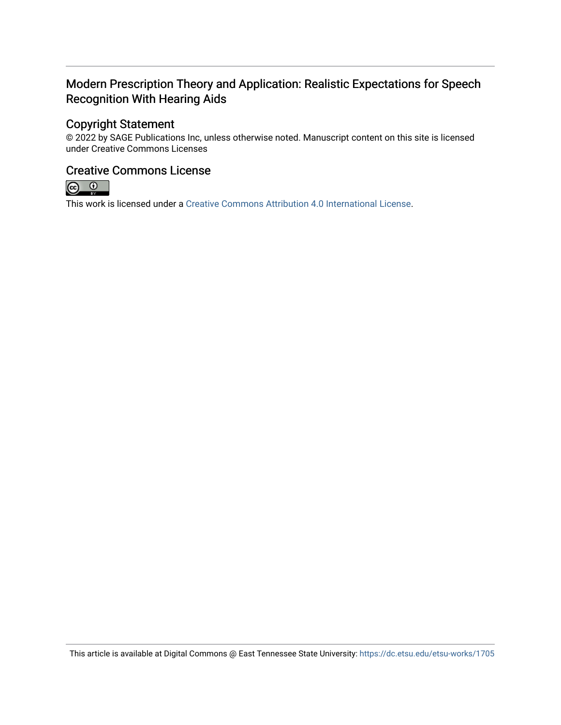## Modern Prescription Theory and Application: Realistic Expectations for Speech Recognition With Hearing Aids

## Copyright Statement

© 2022 by SAGE Publications Inc, unless otherwise noted. Manuscript content on this site is licensed under Creative Commons Licenses

## Creative Commons License



This work is licensed under a [Creative Commons Attribution 4.0 International License.](https://creativecommons.org/licenses/by/4.0/)

This article is available at Digital Commons @ East Tennessee State University: <https://dc.etsu.edu/etsu-works/1705>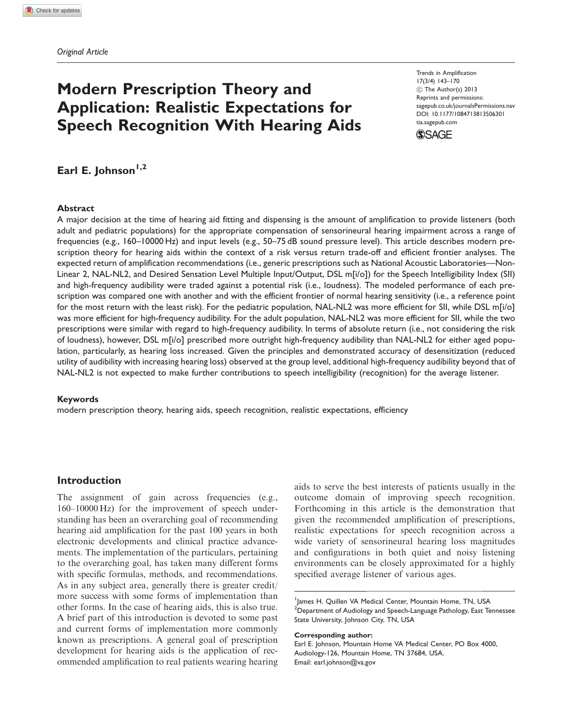# Modern Prescription Theory and Application: Realistic Expectations for Speech Recognition With Hearing Aids

Trends in Amplification 17(3/4) 143–170  $©$  The Author(s) 2013 Reprints and permissions: sagepub.co.uk/journalsPermissions.nav DOI: 10.1177/1084713813506301 tia.sagepub.com



## Earl E. Johnson $^{1,2}$

#### Abstract

A major decision at the time of hearing aid fitting and dispensing is the amount of amplification to provide listeners (both adult and pediatric populations) for the appropriate compensation of sensorineural hearing impairment across a range of frequencies (e.g., 160–10000 Hz) and input levels (e.g., 50–75 dB sound pressure level). This article describes modern prescription theory for hearing aids within the context of a risk versus return trade-off and efficient frontier analyses. The expected return of amplification recommendations (i.e., generic prescriptions such as National Acoustic Laboratories—Non-Linear 2, NAL-NL2, and Desired Sensation Level Multiple Input/Output, DSL m[i/o]) for the Speech Intelligibility Index (SII) and high-frequency audibility were traded against a potential risk (i.e., loudness). The modeled performance of each prescription was compared one with another and with the efficient frontier of normal hearing sensitivity (i.e., a reference point for the most return with the least risk). For the pediatric population, NAL-NL2 was more efficient for SII, while DSL m[i/o] was more efficient for high-frequency audibility. For the adult population, NAL-NL2 was more efficient for SII, while the two prescriptions were similar with regard to high-frequency audibility. In terms of absolute return (i.e., not considering the risk of loudness), however, DSL m[i/o] prescribed more outright high-frequency audibility than NAL-NL2 for either aged population, particularly, as hearing loss increased. Given the principles and demonstrated accuracy of desensitization (reduced utility of audibility with increasing hearing loss) observed at the group level, additional high-frequency audibility beyond that of NAL-NL2 is not expected to make further contributions to speech intelligibility (recognition) for the average listener.

#### Keywords

modern prescription theory, hearing aids, speech recognition, realistic expectations, efficiency

#### Introduction

The assignment of gain across frequencies (e.g., 160–10000 Hz) for the improvement of speech understanding has been an overarching goal of recommending hearing aid amplification for the past 100 years in both electronic developments and clinical practice advancements. The implementation of the particulars, pertaining to the overarching goal, has taken many different forms with specific formulas, methods, and recommendations. As in any subject area, generally there is greater credit/ more success with some forms of implementation than other forms. In the case of hearing aids, this is also true. A brief part of this introduction is devoted to some past and current forms of implementation more commonly known as prescriptions. A general goal of prescription development for hearing aids is the application of recommended amplification to real patients wearing hearing

aids to serve the best interests of patients usually in the outcome domain of improving speech recognition. Forthcoming in this article is the demonstration that given the recommended amplification of prescriptions, realistic expectations for speech recognition across a wide variety of sensorineural hearing loss magnitudes and configurations in both quiet and noisy listening environments can be closely approximated for a highly specified average listener of various ages.

<sup>1</sup>James H. Quillen VA Medical Center, Mountain Home, TN, USA  $^{\rm 2}$ Department of Audiology and Speech-Language Pathology, East Tennessee State University, Johnson City, TN, USA

Corresponding author:

Earl E. Johnson, Mountain Home VA Medical Center, PO Box 4000, Audiology-126, Mountain Home, TN 37684, USA. Email: earl.johnson@va.gov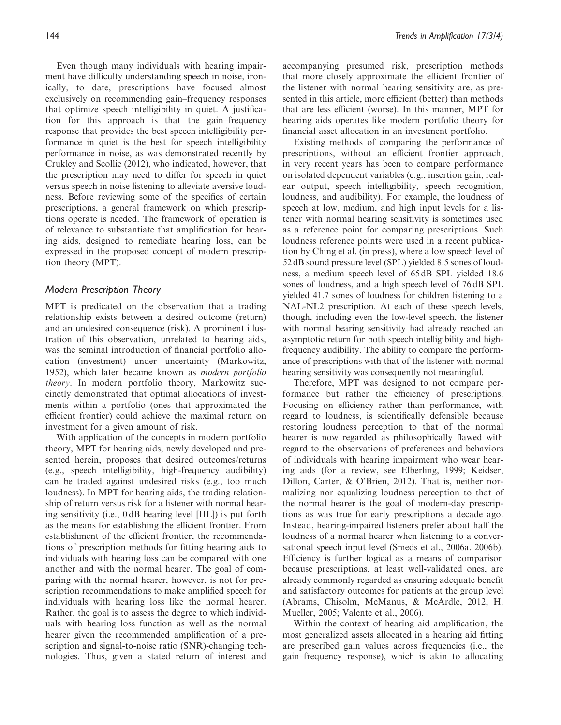Even though many individuals with hearing impairment have difficulty understanding speech in noise, ironically, to date, prescriptions have focused almost exclusively on recommending gain–frequency responses that optimize speech intelligibility in quiet. A justification for this approach is that the gain–frequency response that provides the best speech intelligibility performance in quiet is the best for speech intelligibility performance in noise, as was demonstrated recently by Crukley and Scollie (2012), who indicated, however, that the prescription may need to differ for speech in quiet versus speech in noise listening to alleviate aversive loudness. Before reviewing some of the specifics of certain prescriptions, a general framework on which prescriptions operate is needed. The framework of operation is of relevance to substantiate that amplification for hearing aids, designed to remediate hearing loss, can be expressed in the proposed concept of modern prescription theory (MPT).

#### Modern Prescription Theory

MPT is predicated on the observation that a trading relationship exists between a desired outcome (return) and an undesired consequence (risk). A prominent illustration of this observation, unrelated to hearing aids, was the seminal introduction of financial portfolio allocation (investment) under uncertainty (Markowitz, 1952), which later became known as modern portfolio theory. In modern portfolio theory, Markowitz succinctly demonstrated that optimal allocations of investments within a portfolio (ones that approximated the efficient frontier) could achieve the maximal return on investment for a given amount of risk.

With application of the concepts in modern portfolio theory, MPT for hearing aids, newly developed and presented herein, proposes that desired outcomes/returns (e.g., speech intelligibility, high-frequency audibility) can be traded against undesired risks (e.g., too much loudness). In MPT for hearing aids, the trading relationship of return versus risk for a listener with normal hearing sensitivity (i.e., 0 dB hearing level [HL]) is put forth as the means for establishing the efficient frontier. From establishment of the efficient frontier, the recommendations of prescription methods for fitting hearing aids to individuals with hearing loss can be compared with one another and with the normal hearer. The goal of comparing with the normal hearer, however, is not for prescription recommendations to make amplified speech for individuals with hearing loss like the normal hearer. Rather, the goal is to assess the degree to which individuals with hearing loss function as well as the normal hearer given the recommended amplification of a prescription and signal-to-noise ratio (SNR)-changing technologies. Thus, given a stated return of interest and accompanying presumed risk, prescription methods that more closely approximate the efficient frontier of the listener with normal hearing sensitivity are, as presented in this article, more efficient (better) than methods that are less efficient (worse). In this manner, MPT for hearing aids operates like modern portfolio theory for financial asset allocation in an investment portfolio.

Existing methods of comparing the performance of prescriptions, without an efficient frontier approach, in very recent years has been to compare performance on isolated dependent variables (e.g., insertion gain, realear output, speech intelligibility, speech recognition, loudness, and audibility). For example, the loudness of speech at low, medium, and high input levels for a listener with normal hearing sensitivity is sometimes used as a reference point for comparing prescriptions. Such loudness reference points were used in a recent publication by Ching et al. (in press), where a low speech level of 52 dB sound pressure level (SPL) yielded 8.5 sones of loudness, a medium speech level of 65 dB SPL yielded 18.6 sones of loudness, and a high speech level of 76 dB SPL yielded 41.7 sones of loudness for children listening to a NAL-NL2 prescription. At each of these speech levels, though, including even the low-level speech, the listener with normal hearing sensitivity had already reached an asymptotic return for both speech intelligibility and highfrequency audibility. The ability to compare the performance of prescriptions with that of the listener with normal hearing sensitivity was consequently not meaningful.

Therefore, MPT was designed to not compare performance but rather the efficiency of prescriptions. Focusing on efficiency rather than performance, with regard to loudness, is scientifically defensible because restoring loudness perception to that of the normal hearer is now regarded as philosophically flawed with regard to the observations of preferences and behaviors of individuals with hearing impairment who wear hearing aids (for a review, see Elberling, 1999; Keidser, Dillon, Carter, & O'Brien, 2012). That is, neither normalizing nor equalizing loudness perception to that of the normal hearer is the goal of modern-day prescriptions as was true for early prescriptions a decade ago. Instead, hearing-impaired listeners prefer about half the loudness of a normal hearer when listening to a conversational speech input level (Smeds et al., 2006a, 2006b). Efficiency is further logical as a means of comparison because prescriptions, at least well-validated ones, are already commonly regarded as ensuring adequate benefit and satisfactory outcomes for patients at the group level (Abrams, Chisolm, McManus, & McArdle, 2012; H. Mueller, 2005; Valente et al., 2006).

Within the context of hearing aid amplification, the most generalized assets allocated in a hearing aid fitting are prescribed gain values across frequencies (i.e., the gain–frequency response), which is akin to allocating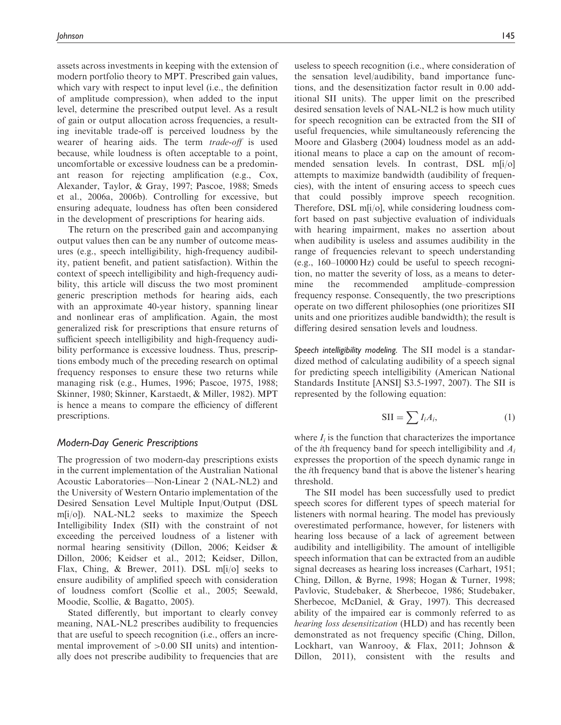assets across investments in keeping with the extension of modern portfolio theory to MPT. Prescribed gain values, which vary with respect to input level (i.e., the definition of amplitude compression), when added to the input level, determine the prescribed output level. As a result of gain or output allocation across frequencies, a resulting inevitable trade-off is perceived loudness by the wearer of hearing aids. The term *trade-off* is used because, while loudness is often acceptable to a point, uncomfortable or excessive loudness can be a predominant reason for rejecting amplification (e.g., Cox, Alexander, Taylor, & Gray, 1997; Pascoe, 1988; Smeds et al., 2006a, 2006b). Controlling for excessive, but ensuring adequate, loudness has often been considered in the development of prescriptions for hearing aids.

The return on the prescribed gain and accompanying output values then can be any number of outcome measures (e.g., speech intelligibility, high-frequency audibility, patient benefit, and patient satisfaction). Within the context of speech intelligibility and high-frequency audibility, this article will discuss the two most prominent generic prescription methods for hearing aids, each with an approximate 40-year history, spanning linear and nonlinear eras of amplification. Again, the most generalized risk for prescriptions that ensure returns of sufficient speech intelligibility and high-frequency audibility performance is excessive loudness. Thus, prescriptions embody much of the preceding research on optimal frequency responses to ensure these two returns while managing risk (e.g., Humes, 1996; Pascoe, 1975, 1988; Skinner, 1980; Skinner, Karstaedt, & Miller, 1982). MPT is hence a means to compare the efficiency of different prescriptions.

#### Modern-Day Generic Prescriptions

The progression of two modern-day prescriptions exists in the current implementation of the Australian National Acoustic Laboratories—Non-Linear 2 (NAL-NL2) and the University of Western Ontario implementation of the Desired Sensation Level Multiple Input/Output (DSL m[i/o]). NAL-NL2 seeks to maximize the Speech Intelligibility Index (SII) with the constraint of not exceeding the perceived loudness of a listener with normal hearing sensitivity (Dillon, 2006; Keidser & Dillon, 2006; Keidser et al., 2012; Keidser, Dillon, Flax, Ching, & Brewer, 2011). DSL m[i/o] seeks to ensure audibility of amplified speech with consideration of loudness comfort (Scollie et al., 2005; Seewald, Moodie, Scollie, & Bagatto, 2005).

Stated differently, but important to clearly convey meaning, NAL-NL2 prescribes audibility to frequencies that are useful to speech recognition (i.e., offers an incremental improvement of >0.00 SII units) and intentionally does not prescribe audibility to frequencies that are

useless to speech recognition (i.e., where consideration of the sensation level/audibility, band importance functions, and the desensitization factor result in 0.00 additional SII units). The upper limit on the prescribed desired sensation levels of NAL-NL2 is how much utility for speech recognition can be extracted from the SII of useful frequencies, while simultaneously referencing the Moore and Glasberg (2004) loudness model as an additional means to place a cap on the amount of recommended sensation levels. In contrast, DSL m[i/o] attempts to maximize bandwidth (audibility of frequencies), with the intent of ensuring access to speech cues that could possibly improve speech recognition. Therefore, DSL m[i/o], while considering loudness comfort based on past subjective evaluation of individuals with hearing impairment, makes no assertion about when audibility is useless and assumes audibility in the range of frequencies relevant to speech understanding (e.g., 160–10000 Hz) could be useful to speech recognition, no matter the severity of loss, as a means to determine the recommended amplitude–compression frequency response. Consequently, the two prescriptions operate on two different philosophies (one prioritizes SII units and one prioritizes audible bandwidth); the result is differing desired sensation levels and loudness.

Speech intelligibility modeling. The SII model is a standardized method of calculating audibility of a speech signal for predicting speech intelligibility (American National Standards Institute [ANSI] S3.5-1997, 2007). The SII is represented by the following equation:

$$
SII = \sum I_i A_i, \tag{1}
$$

where  $I_i$  is the function that characterizes the importance of the *i*th frequency band for speech intelligibility and  $A_i$ expresses the proportion of the speech dynamic range in the ith frequency band that is above the listener's hearing threshold.

The SII model has been successfully used to predict speech scores for different types of speech material for listeners with normal hearing. The model has previously overestimated performance, however, for listeners with hearing loss because of a lack of agreement between audibility and intelligibility. The amount of intelligible speech information that can be extracted from an audible signal decreases as hearing loss increases (Carhart, 1951; Ching, Dillon, & Byrne, 1998; Hogan & Turner, 1998; Pavlovic, Studebaker, & Sherbecoe, 1986; Studebaker, Sherbecoe, McDaniel, & Gray, 1997). This decreased ability of the impaired ear is commonly referred to as hearing loss desensitization (HLD) and has recently been demonstrated as not frequency specific (Ching, Dillon, Lockhart, van Wanrooy, & Flax, 2011; Johnson & Dillon, 2011), consistent with the results and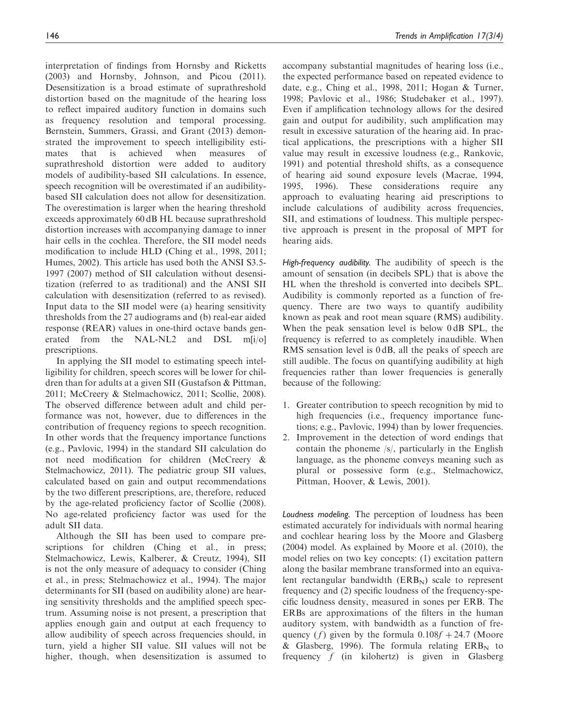interpretation of findings from Hornsby and Ricketts (2003) and Hornsby, Johnson, and Picou (2011). Desensitization is a broad estimate of suprathreshold distortion based on the magnitude of the hearing loss to reflect impaired auditory function in domains such as frequency resolution and temporal processing. Bernstein, Summers, Grassi, and Grant (2013) demonstrated the improvement to speech intelligibility estimates that is achieved when measures of suprathreshold distortion were added to auditory models of audibility-based SII calculations. In essence, speech recognition will be overestimated if an audibilitybased SII calculation does not allow for desensitization. The overestimation is larger when the hearing threshold exceeds approximately 60 dB HL because suprathreshold distortion increases with accompanying damage to inner hair cells in the cochlea. Therefore, the SII model needs modification to include HLD (Ching et al., 1998, 2011; Humes, 2002). This article has used both the ANSI S3.5- 1997 (2007) method of SII calculation without desensitization (referred to as traditional) and the ANSI SII calculation with desensitization (referred to as revised). Input data to the SII model were (a) hearing sensitivity thresholds from the 27 audiograms and (b) real-ear aided response (REAR) values in one-third octave bands generated from the NAL-NL2 and DSL m[i/o] prescriptions.

In applying the SII model to estimating speech intelligibility for children, speech scores will be lower for children than for adults at a given SII (Gustafson & Pittman, 2011; McCreery & Stelmachowicz, 2011; Scollie, 2008). The observed difference between adult and child performance was not, however, due to differences in the contribution of frequency regions to speech recognition. In other words that the frequency importance functions (e.g., Pavlovic, 1994) in the standard SII calculation do not need modification for children (McCreery & Stelmachowicz, 2011). The pediatric group SII values, calculated based on gain and output recommendations by the two different prescriptions, are, therefore, reduced by the age-related proficiency factor of Scollie (2008). No age-related proficiency factor was used for the adult SII data.

Although the SII has been used to compare prescriptions for children (Ching et al., in press; Stelmachowicz, Lewis, Kalberer, & Creutz, 1994), SII is not the only measure of adequacy to consider (Ching et al., in press; Stelmachowicz et al., 1994). The major determinants for SII (based on audibility alone) are hearing sensitivity thresholds and the amplified speech spectrum. Assuming noise is not present, a prescription that applies enough gain and output at each frequency to allow audibility of speech across frequencies should, in turn, yield a higher SII value. SII values will not be higher, though, when desensitization is assumed to accompany substantial magnitudes of hearing loss (i.e., the expected performance based on repeated evidence to date, e.g., Ching et al., 1998, 2011; Hogan & Turner, 1998; Pavlovic et al., 1986; Studebaker et al., 1997). Even if amplification technology allows for the desired gain and output for audibility, such amplification may result in excessive saturation of the hearing aid. In practical applications, the prescriptions with a higher SII value may result in excessive loudness (e.g., Rankovic, 1991) and potential threshold shifts, as a consequence of hearing aid sound exposure levels (Macrae, 1994, 1995, 1996). These considerations require any approach to evaluating hearing aid prescriptions to include calculations of audibility across frequencies, SII, and estimations of loudness. This multiple perspective approach is present in the proposal of MPT for hearing aids.

High-frequency audibility. The audibility of speech is the amount of sensation (in decibels SPL) that is above the HL when the threshold is converted into decibels SPL. Audibility is commonly reported as a function of frequency. There are two ways to quantify audibility known as peak and root mean square (RMS) audibility. When the peak sensation level is below 0 dB SPL, the frequency is referred to as completely inaudible. When RMS sensation level is  $0 dB$ , all the peaks of speech are still audible. The focus on quantifying audibility at high frequencies rather than lower frequencies is generally because of the following:

- 1. Greater contribution to speech recognition by mid to high frequencies (i.e., frequency importance functions; e.g., Pavlovic, 1994) than by lower frequencies.
- 2. Improvement in the detection of word endings that contain the phoneme /s/, particularly in the English language, as the phoneme conveys meaning such as plural or possessive form (e.g., Stelmachowicz, Pittman, Hoover, & Lewis, 2001).

Loudness modeling. The perception of loudness has been estimated accurately for individuals with normal hearing and cochlear hearing loss by the Moore and Glasberg (2004) model. As explained by Moore et al. (2010), the model relies on two key concepts: (1) excitation pattern along the basilar membrane transformed into an equivalent rectangular bandwidth  $(ERB<sub>N</sub>)$  scale to represent frequency and (2) specific loudness of the frequency-specific loudness density, measured in sones per ERB. The ERBs are approximations of the filters in the human auditory system, with bandwidth as a function of frequency (*f*) given by the formula  $0.108f + 24.7$  (Moore & Glasberg, 1996). The formula relating  $ERB<sub>N</sub>$  to frequency f (in kilohertz) is given in Glasberg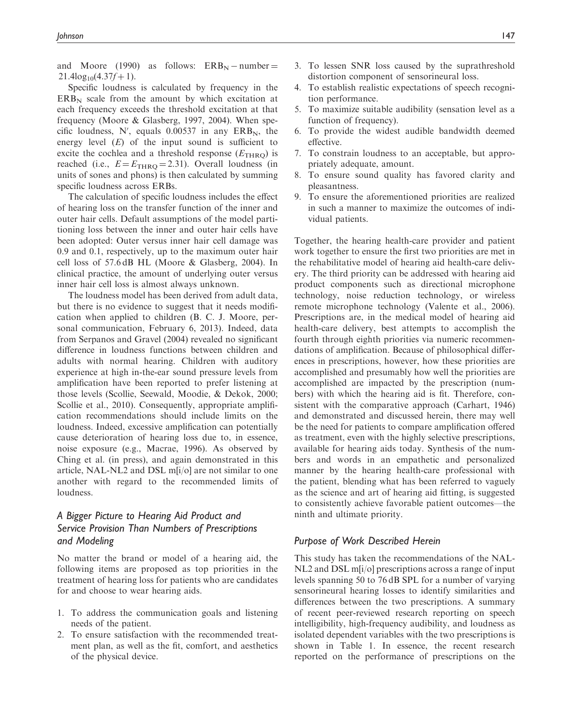and Moore (1990) as follows:  $ERB_N - number =$  $21.4\log_{10}(4.37f+1)$ .

Specific loudness is calculated by frequency in the  $ERB<sub>N</sub>$  scale from the amount by which excitation at each frequency exceeds the threshold excitation at that frequency (Moore & Glasberg, 1997, 2004). When specific loudness, N', equals  $0.00537$  in any ERB<sub>N</sub>, the energy level  $(E)$  of the input sound is sufficient to excite the cochlea and a threshold response  $(E_{\text{THRO}})$  is reached (i.e.,  $E = E<sub>THRQ</sub> = 2.31$ ). Overall loudness (in units of sones and phons) is then calculated by summing specific loudness across ERBs.

The calculation of specific loudness includes the effect of hearing loss on the transfer function of the inner and outer hair cells. Default assumptions of the model partitioning loss between the inner and outer hair cells have been adopted: Outer versus inner hair cell damage was 0.9 and 0.1, respectively, up to the maximum outer hair cell loss of 57.6 dB HL (Moore & Glasberg, 2004). In clinical practice, the amount of underlying outer versus inner hair cell loss is almost always unknown.

The loudness model has been derived from adult data, but there is no evidence to suggest that it needs modification when applied to children (B. C. J. Moore, personal communication, February 6, 2013). Indeed, data from Serpanos and Gravel (2004) revealed no significant difference in loudness functions between children and adults with normal hearing. Children with auditory experience at high in-the-ear sound pressure levels from amplification have been reported to prefer listening at those levels (Scollie, Seewald, Moodie, & Dekok, 2000; Scollie et al., 2010). Consequently, appropriate amplification recommendations should include limits on the loudness. Indeed, excessive amplification can potentially cause deterioration of hearing loss due to, in essence, noise exposure (e.g., Macrae, 1996). As observed by Ching et al. (in press), and again demonstrated in this article, NAL-NL2 and DSL m[i/o] are not similar to one another with regard to the recommended limits of loudness.

## A Bigger Picture to Hearing Aid Product and Service Provision Than Numbers of Prescriptions and Modeling

No matter the brand or model of a hearing aid, the following items are proposed as top priorities in the treatment of hearing loss for patients who are candidates for and choose to wear hearing aids.

- 1. To address the communication goals and listening needs of the patient.
- 2. To ensure satisfaction with the recommended treatment plan, as well as the fit, comfort, and aesthetics of the physical device.
- 3. To lessen SNR loss caused by the suprathreshold distortion component of sensorineural loss.
- 4. To establish realistic expectations of speech recognition performance.
- 5. To maximize suitable audibility (sensation level as a function of frequency).
- 6. To provide the widest audible bandwidth deemed effective.
- 7. To constrain loudness to an acceptable, but appropriately adequate, amount.
- 8. To ensure sound quality has favored clarity and pleasantness.
- 9. To ensure the aforementioned priorities are realized in such a manner to maximize the outcomes of individual patients.

Together, the hearing health-care provider and patient work together to ensure the first two priorities are met in the rehabilitative model of hearing aid health-care delivery. The third priority can be addressed with hearing aid product components such as directional microphone technology, noise reduction technology, or wireless remote microphone technology (Valente et al., 2006). Prescriptions are, in the medical model of hearing aid health-care delivery, best attempts to accomplish the fourth through eighth priorities via numeric recommendations of amplification. Because of philosophical differences in prescriptions, however, how these priorities are accomplished and presumably how well the priorities are accomplished are impacted by the prescription (numbers) with which the hearing aid is fit. Therefore, consistent with the comparative approach (Carhart, 1946) and demonstrated and discussed herein, there may well be the need for patients to compare amplification offered as treatment, even with the highly selective prescriptions, available for hearing aids today. Synthesis of the numbers and words in an empathetic and personalized manner by the hearing health-care professional with the patient, blending what has been referred to vaguely as the science and art of hearing aid fitting, is suggested to consistently achieve favorable patient outcomes—the ninth and ultimate priority.

#### Purpose of Work Described Herein

This study has taken the recommendations of the NAL-NL2 and DSL m[i/o] prescriptions across a range of input levels spanning 50 to 76 dB SPL for a number of varying sensorineural hearing losses to identify similarities and differences between the two prescriptions. A summary of recent peer-reviewed research reporting on speech intelligibility, high-frequency audibility, and loudness as isolated dependent variables with the two prescriptions is shown in Table 1. In essence, the recent research reported on the performance of prescriptions on the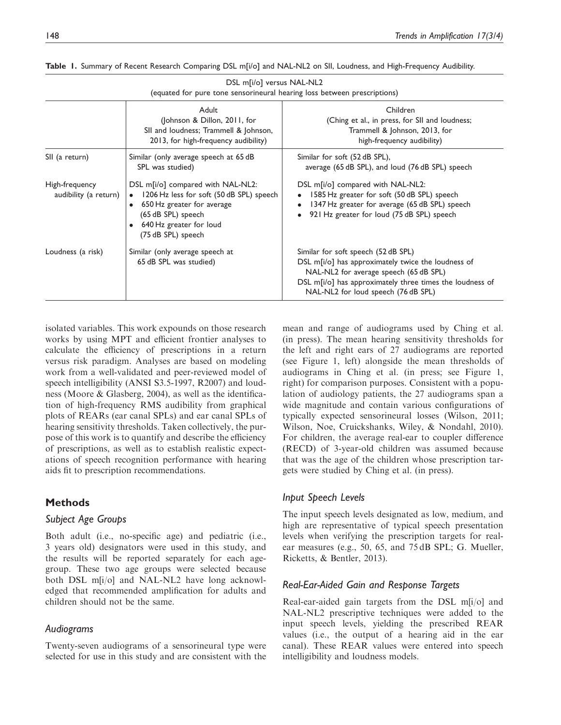|                                         | DSL m[i/o] versus NAL-NL2<br>(equated for pure tone sensorineural hearing loss between prescriptions)                                                                              |                                                                                                                                                                                                                                        |  |  |  |  |  |  |  |
|-----------------------------------------|------------------------------------------------------------------------------------------------------------------------------------------------------------------------------------|----------------------------------------------------------------------------------------------------------------------------------------------------------------------------------------------------------------------------------------|--|--|--|--|--|--|--|
|                                         | Adult<br>(Johnson & Dillon, 2011, for<br>SII and loudness; Trammell & Johnson,<br>2013, for high-frequency audibility)                                                             | Children<br>(Ching et al., in press, for SII and loudness;<br>Trammell & Johnson, 2013, for<br>high-frequency audibility)                                                                                                              |  |  |  |  |  |  |  |
| SII (a return)                          | Similar (only average speech at 65 dB<br>SPL was studied)                                                                                                                          | Similar for soft (52 dB SPL),<br>average (65 dB SPL), and loud (76 dB SPL) speech                                                                                                                                                      |  |  |  |  |  |  |  |
| High-frequency<br>audibility (a return) | DSL m[i/o] compared with NAL-NL2:<br>1206 Hz less for soft (50 dB SPL) speech<br>650 Hz greater for average<br>(65 dB SPL) speech<br>640 Hz greater for loud<br>(75 dB SPL) speech | DSL m[i/o] compared with NAL-NL2:<br>1585 Hz greater for soft (50 dB SPL) speech<br>1347 Hz greater for average (65 dB SPL) speech<br>$\bullet$<br>921 Hz greater for loud (75 dB SPL) speech                                          |  |  |  |  |  |  |  |
| Loudness (a risk)                       | Similar (only average speech at<br>65 dB SPL was studied)                                                                                                                          | Similar for soft speech (52 dB SPL)<br>DSL m[i/o] has approximately twice the loudness of<br>NAL-NL2 for average speech (65 dB SPL)<br>DSL m[i/o] has approximately three times the loudness of<br>NAL-NL2 for loud speech (76 dB SPL) |  |  |  |  |  |  |  |

|  |  |  |  |  |  |  |  |  |  |  |  |  | Table 1. Summary of Recent Research Comparing DSL m[i/o] and NAL-NL2 on SII, Loudness, and High-Frequency Audibility. |  |  |  |  |  |
|--|--|--|--|--|--|--|--|--|--|--|--|--|-----------------------------------------------------------------------------------------------------------------------|--|--|--|--|--|
|--|--|--|--|--|--|--|--|--|--|--|--|--|-----------------------------------------------------------------------------------------------------------------------|--|--|--|--|--|

isolated variables. This work expounds on those research works by using MPT and efficient frontier analyses to calculate the efficiency of prescriptions in a return versus risk paradigm. Analyses are based on modeling work from a well-validated and peer-reviewed model of speech intelligibility (ANSI S3.5-1997, R2007) and loudness (Moore & Glasberg, 2004), as well as the identification of high-frequency RMS audibility from graphical plots of REARs (ear canal SPLs) and ear canal SPLs of hearing sensitivity thresholds. Taken collectively, the purpose of this work is to quantify and describe the efficiency of prescriptions, as well as to establish realistic expectations of speech recognition performance with hearing aids fit to prescription recommendations.

## **Methods**

#### Subject Age Groups

Both adult (i.e., no-specific age) and pediatric (i.e., 3 years old) designators were used in this study, and the results will be reported separately for each agegroup. These two age groups were selected because both DSL m[i/o] and NAL-NL2 have long acknowledged that recommended amplification for adults and children should not be the same.

### Audiograms

Twenty-seven audiograms of a sensorineural type were selected for use in this study and are consistent with the mean and range of audiograms used by Ching et al. (in press). The mean hearing sensitivity thresholds for the left and right ears of 27 audiograms are reported (see Figure 1, left) alongside the mean thresholds of audiograms in Ching et al. (in press; see Figure 1, right) for comparison purposes. Consistent with a population of audiology patients, the 27 audiograms span a wide magnitude and contain various configurations of typically expected sensorineural losses (Wilson, 2011; Wilson, Noe, Cruickshanks, Wiley, & Nondahl, 2010). For children, the average real-ear to coupler difference (RECD) of 3-year-old children was assumed because that was the age of the children whose prescription targets were studied by Ching et al. (in press).

#### Input Speech Levels

The input speech levels designated as low, medium, and high are representative of typical speech presentation levels when verifying the prescription targets for realear measures (e.g., 50, 65, and 75 dB SPL; G. Mueller, Ricketts, & Bentler, 2013).

### Real-Ear-Aided Gain and Response Targets

Real-ear-aided gain targets from the DSL m[i/o] and NAL-NL2 prescriptive techniques were added to the input speech levels, yielding the prescribed REAR values (i.e., the output of a hearing aid in the ear canal). These REAR values were entered into speech intelligibility and loudness models.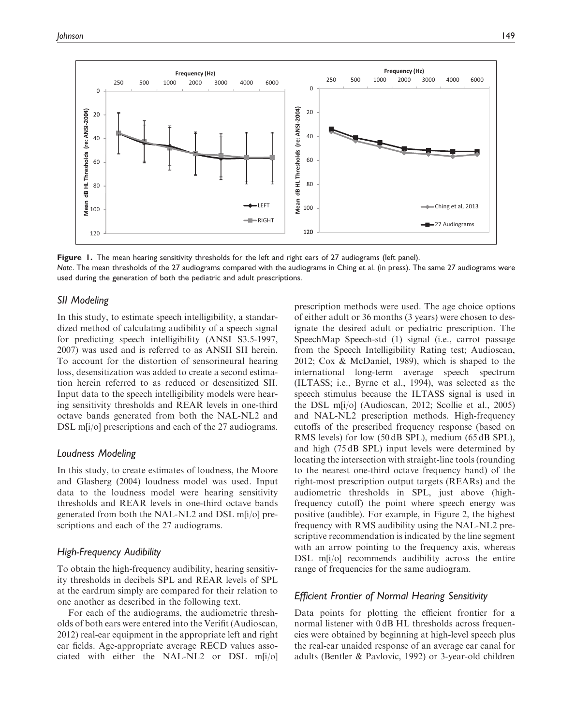

Figure 1. The mean hearing sensitivity thresholds for the left and right ears of 27 audiograms (left panel). Note. The mean thresholds of the 27 audiograms compared with the audiograms in Ching et al. (in press). The same 27 audiograms were used during the generation of both the pediatric and adult prescriptions.

#### SII Modeling

In this study, to estimate speech intelligibility, a standardized method of calculating audibility of a speech signal for predicting speech intelligibility (ANSI S3.5-1997, 2007) was used and is referred to as ANSII SII herein. To account for the distortion of sensorineural hearing loss, desensitization was added to create a second estimation herein referred to as reduced or desensitized SII. Input data to the speech intelligibility models were hearing sensitivity thresholds and REAR levels in one-third octave bands generated from both the NAL-NL2 and DSL m[i/o] prescriptions and each of the 27 audiograms.

#### Loudness Modeling

In this study, to create estimates of loudness, the Moore and Glasberg (2004) loudness model was used. Input data to the loudness model were hearing sensitivity thresholds and REAR levels in one-third octave bands generated from both the NAL-NL2 and DSL m[i/o] prescriptions and each of the 27 audiograms.

#### High-Frequency Audibility

To obtain the high-frequency audibility, hearing sensitivity thresholds in decibels SPL and REAR levels of SPL at the eardrum simply are compared for their relation to one another as described in the following text.

For each of the audiograms, the audiometric thresholds of both ears were entered into the Verifit (Audioscan, 2012) real-ear equipment in the appropriate left and right ear fields. Age-appropriate average RECD values associated with either the NAL-NL2 or DSL m[i/o]

prescription methods were used. The age choice options of either adult or 36 months (3 years) were chosen to designate the desired adult or pediatric prescription. The SpeechMap Speech-std (1) signal (i.e., carrot passage from the Speech Intelligibility Rating test; Audioscan, 2012; Cox & McDaniel, 1989), which is shaped to the international long-term average speech spectrum (ILTASS; i.e., Byrne et al., 1994), was selected as the speech stimulus because the ILTASS signal is used in the DSL m[i/o] (Audioscan, 2012; Scollie et al., 2005) and NAL-NL2 prescription methods. High-frequency cutoffs of the prescribed frequency response (based on RMS levels) for low (50 dB SPL), medium (65 dB SPL), and high (75 dB SPL) input levels were determined by locating the intersection with straight-line tools (rounding to the nearest one-third octave frequency band) of the right-most prescription output targets (REARs) and the audiometric thresholds in SPL, just above (highfrequency cutoff) the point where speech energy was positive (audible). For example, in Figure 2, the highest frequency with RMS audibility using the NAL-NL2 prescriptive recommendation is indicated by the line segment with an arrow pointing to the frequency axis, whereas DSL m[i/o] recommends audibility across the entire range of frequencies for the same audiogram.

#### Efficient Frontier of Normal Hearing Sensitivity

Data points for plotting the efficient frontier for a normal listener with 0 dB HL thresholds across frequencies were obtained by beginning at high-level speech plus the real-ear unaided response of an average ear canal for adults (Bentler & Pavlovic, 1992) or 3-year-old children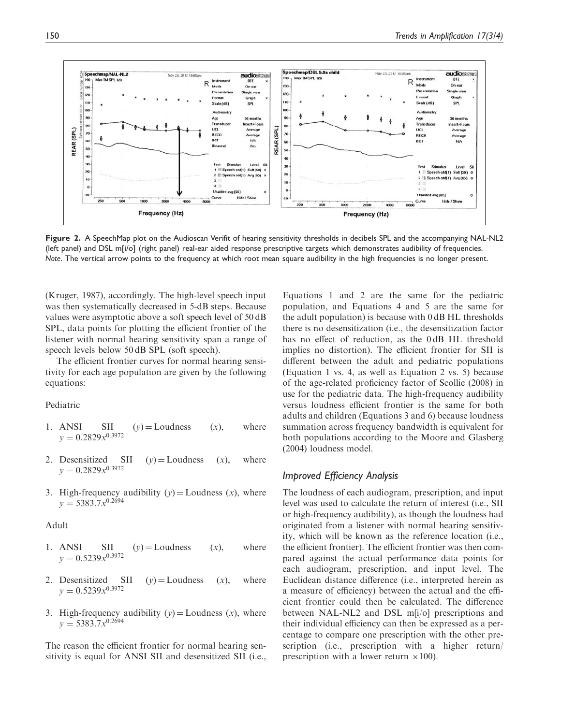

Figure 2. A SpeechMap plot on the Audioscan Verifit of hearing sensitivity thresholds in decibels SPL and the accompanying NAL-NL2 (left panel) and DSL m[i/o] (right panel) real-ear aided response prescriptive targets which demonstrates audibility of frequencies. Note. The vertical arrow points to the frequency at which root mean square audibility in the high frequencies is no longer present.

(Kruger, 1987), accordingly. The high-level speech input was then systematically decreased in 5-dB steps. Because values were asymptotic above a soft speech level of 50 dB SPL, data points for plotting the efficient frontier of the listener with normal hearing sensitivity span a range of speech levels below 50 dB SPL (soft speech).

The efficient frontier curves for normal hearing sensitivity for each age population are given by the following equations:

Pediatric

- 1. ANSI SII  $(y) =$ Loudness  $(x)$ , where  $y = 0.2829x^{0.3972}$
- 2. Desensitized SII  $(y) =$ Loudness  $(x)$ , where  $y = 0.2829x^{0.3972}$
- 3. High-frequency audibility  $(y) =$  Loudness  $(x)$ , where  $y = 5383.7x^{0.2694}$

Adult

- 1. ANSI SII  $(y) =$ Loudness  $(x)$ , where  $y = 0.5239x^{0.3972}$
- 2. Desensitized SII  $(v) =$ Loudness  $(x)$ , where  $y = 0.5239x^{0.3972}$
- 3. High-frequency audibility  $(y) =$  Loudness  $(x)$ , where  $y = 5383.7x^{0.2694}$

The reason the efficient frontier for normal hearing sensitivity is equal for ANSI SII and desensitized SII (i.e., Equations 1 and 2 are the same for the pediatric population, and Equations 4 and 5 are the same for the adult population) is because with 0 dB HL thresholds there is no desensitization (i.e., the desensitization factor has no effect of reduction, as the 0 dB HL threshold implies no distortion). The efficient frontier for SII is different between the adult and pediatric populations (Equation 1 vs. 4, as well as Equation 2 vs. 5) because of the age-related proficiency factor of Scollie (2008) in use for the pediatric data. The high-frequency audibility versus loudness efficient frontier is the same for both adults and children (Equations 3 and 6) because loudness summation across frequency bandwidth is equivalent for both populations according to the Moore and Glasberg (2004) loudness model.

### Improved Efficiency Analysis

The loudness of each audiogram, prescription, and input level was used to calculate the return of interest (i.e., SII or high-frequency audibility), as though the loudness had originated from a listener with normal hearing sensitivity, which will be known as the reference location (i.e., the efficient frontier). The efficient frontier was then compared against the actual performance data points for each audiogram, prescription, and input level. The Euclidean distance difference (i.e., interpreted herein as a measure of efficiency) between the actual and the efficient frontier could then be calculated. The difference between NAL-NL2 and DSL m[i/o] prescriptions and their individual efficiency can then be expressed as a percentage to compare one prescription with the other prescription (i.e., prescription with a higher return/ prescription with a lower return  $\times 100$ ).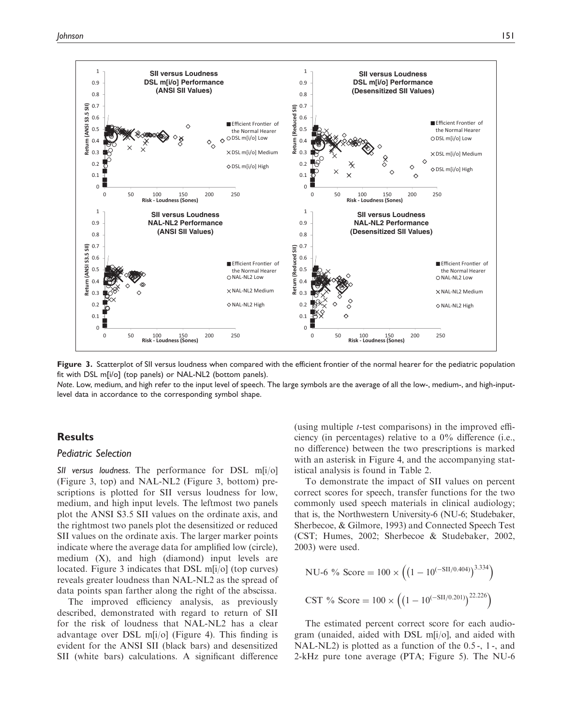

Figure 3. Scatterplot of SII versus loudness when compared with the efficient frontier of the normal hearer for the pediatric population fit with DSL m[i/o] (top panels) or NAL-NL2 (bottom panels).

Note. Low, medium, and high refer to the input level of speech. The large symbols are the average of all the low-, medium-, and high-inputlevel data in accordance to the corresponding symbol shape.

#### **Results**

#### Pediatric Selection

SII versus loudness. The performance for DSL  $m[i/\sigma]$ (Figure 3, top) and NAL-NL2 (Figure 3, bottom) prescriptions is plotted for SII versus loudness for low, medium, and high input levels. The leftmost two panels plot the ANSI S3.5 SII values on the ordinate axis, and the rightmost two panels plot the desensitized or reduced SII values on the ordinate axis. The larger marker points indicate where the average data for amplified low (circle), medium (X), and high (diamond) input levels are located. Figure 3 indicates that DSL m[i/o] (top curves) reveals greater loudness than NAL-NL2 as the spread of data points span farther along the right of the abscissa.

The improved efficiency analysis, as previously described, demonstrated with regard to return of SII for the risk of loudness that NAL-NL2 has a clear advantage over DSL m[i/o] (Figure 4). This finding is evident for the ANSI SII (black bars) and desensitized SII (white bars) calculations. A significant difference

(using multiple t-test comparisons) in the improved efficiency (in percentages) relative to a 0% difference (i.e., no difference) between the two prescriptions is marked with an asterisk in Figure 4, and the accompanying statistical analysis is found in Table 2.

To demonstrate the impact of SII values on percent correct scores for speech, transfer functions for the two commonly used speech materials in clinical audiology; that is, the Northwestern University-6 (NU-6; Studebaker, Sherbecoe, & Gilmore, 1993) and Connected Speech Test (CST; Humes, 2002; Sherbecoe & Studebaker, 2002, 2003) were used.

NU-6 % Score = 
$$
100 \times \left( \left( 1 - 10^{(-\text{SII}/0.404)} \right)^{3.334} \right)
$$
  
\nCST % Score =  $100 \times \left( \left( 1 - 10^{(-\text{SII}/0.201)} \right)^{22.226} \right)$ 

The estimated percent correct score for each audiogram (unaided, aided with DSL m[i/o], and aided with NAL-NL2) is plotted as a function of the 0.5 -, 1 -, and 2-kHz pure tone average (PTA; Figure 5). The NU-6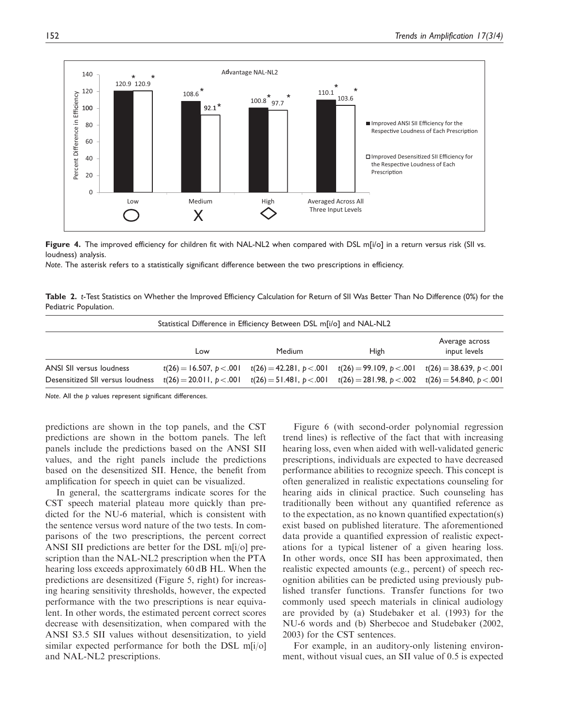

Figure 4. The improved efficiency for children fit with NAL-NL2 when compared with DSL m[i/o] in a return versus risk (SII vs. loudness) analysis.

Note. The asterisk refers to a statistically significant difference between the two prescriptions in efficiency.

Table 2. t-Test Statistics on Whether the Improved Efficiency Calculation for Return of SII Was Better Than No Difference (0%) for the Pediatric Population.

| Statistical Difference in Efficiency Between DSL m[i/o] and NAL-NL2 |     |        |                                                                                                                         |                                |  |  |  |  |  |  |
|---------------------------------------------------------------------|-----|--------|-------------------------------------------------------------------------------------------------------------------------|--------------------------------|--|--|--|--|--|--|
|                                                                     | Low | Medium | High                                                                                                                    | Average across<br>input levels |  |  |  |  |  |  |
| ANSI SII versus loudness                                            |     |        | $t(26) = 16.507$ , $p < .001$ $t(26) = 42.281$ , $p < .001$ $t(26) = 99.109$ , $p < .001$ $t(26) = 38.639$ , $p < .001$ |                                |  |  |  |  |  |  |
| Desensitized SII versus loudness                                    |     |        | $t(26) = 20.011$ , $p < .001$ $t(26) = 51.481$ , $p < .001$ $t(26) = 281.98$ , $p < .002$ $t(26) = 54.840$ , $p < .001$ |                                |  |  |  |  |  |  |

Note. All the p values represent significant differences.

predictions are shown in the top panels, and the CST predictions are shown in the bottom panels. The left panels include the predictions based on the ANSI SII values, and the right panels include the predictions based on the desensitized SII. Hence, the benefit from amplification for speech in quiet can be visualized.

In general, the scattergrams indicate scores for the CST speech material plateau more quickly than predicted for the NU-6 material, which is consistent with the sentence versus word nature of the two tests. In comparisons of the two prescriptions, the percent correct ANSI SII predictions are better for the DSL m[i/o] prescription than the NAL-NL2 prescription when the PTA hearing loss exceeds approximately 60 dB HL. When the predictions are desensitized (Figure 5, right) for increasing hearing sensitivity thresholds, however, the expected performance with the two prescriptions is near equivalent. In other words, the estimated percent correct scores decrease with desensitization, when compared with the ANSI S3.5 SII values without desensitization, to yield similar expected performance for both the DSL m[i/o] and NAL-NL2 prescriptions.

Figure 6 (with second-order polynomial regression trend lines) is reflective of the fact that with increasing hearing loss, even when aided with well-validated generic prescriptions, individuals are expected to have decreased performance abilities to recognize speech. This concept is often generalized in realistic expectations counseling for hearing aids in clinical practice. Such counseling has traditionally been without any quantified reference as to the expectation, as no known quantified expectation(s) exist based on published literature. The aforementioned data provide a quantified expression of realistic expectations for a typical listener of a given hearing loss. In other words, once SII has been approximated, then realistic expected amounts (e.g., percent) of speech recognition abilities can be predicted using previously published transfer functions. Transfer functions for two commonly used speech materials in clinical audiology are provided by (a) Studebaker et al. (1993) for the NU-6 words and (b) Sherbecoe and Studebaker (2002, 2003) for the CST sentences.

For example, in an auditory-only listening environment, without visual cues, an SII value of 0.5 is expected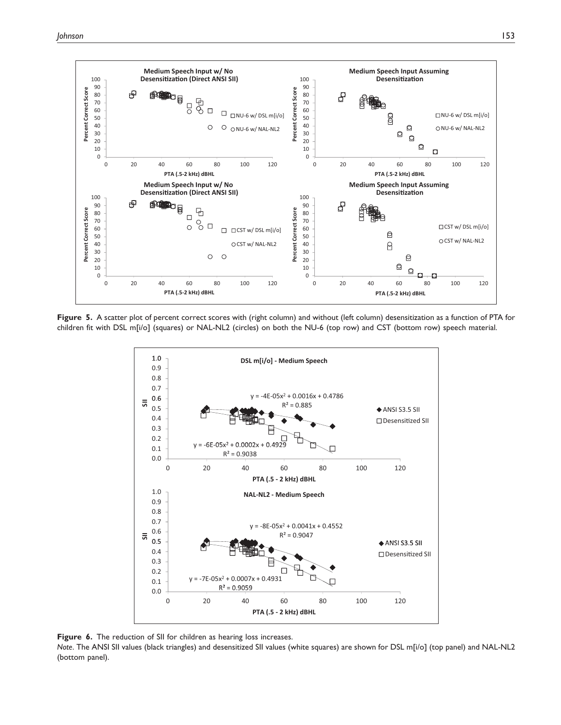

Figure 5. A scatter plot of percent correct scores with (right column) and without (left column) desensitization as a function of PTA for children fit with DSL m[i/o] (squares) or NAL-NL2 (circles) on both the NU-6 (top row) and CST (bottom row) speech material.



Figure 6. The reduction of SII for children as hearing loss increases.

Note. The ANSI SII values (black triangles) and desensitized SII values (white squares) are shown for DSL m[i/o] (top panel) and NAL-NL2 (bottom panel).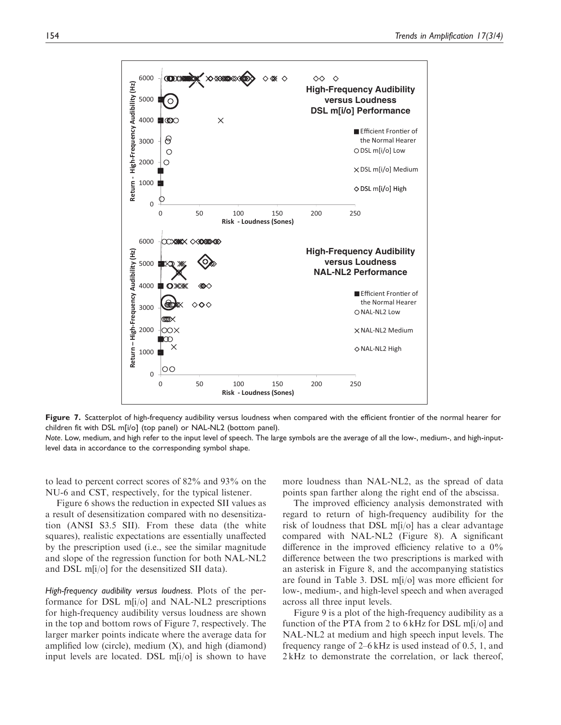

Figure 7. Scatterplot of high-frequency audibility versus loudness when compared with the efficient frontier of the normal hearer for children fit with DSL m[i/o] (top panel) or NAL-NL2 (bottom panel).

Note. Low, medium, and high refer to the input level of speech. The large symbols are the average of all the low-, medium-, and high-inputlevel data in accordance to the corresponding symbol shape.

to lead to percent correct scores of 82% and 93% on the NU-6 and CST, respectively, for the typical listener.

Figure 6 shows the reduction in expected SII values as a result of desensitization compared with no desensitization (ANSI S3.5 SII). From these data (the white squares), realistic expectations are essentially unaffected by the prescription used (i.e., see the similar magnitude and slope of the regression function for both NAL-NL2 and DSL m[i/o] for the desensitized SII data).

High-frequency audibility versus loudness. Plots of the performance for DSL m[i/o] and NAL-NL2 prescriptions for high-frequency audibility versus loudness are shown in the top and bottom rows of Figure 7, respectively. The larger marker points indicate where the average data for amplified low (circle), medium  $(X)$ , and high (diamond) input levels are located. DSL m[i/o] is shown to have more loudness than NAL-NL2, as the spread of data points span farther along the right end of the abscissa.

The improved efficiency analysis demonstrated with regard to return of high-frequency audibility for the risk of loudness that DSL m[i/o] has a clear advantage compared with NAL-NL2 (Figure 8). A significant difference in the improved efficiency relative to a 0% difference between the two prescriptions is marked with an asterisk in Figure 8, and the accompanying statistics are found in Table 3. DSL m[i/o] was more efficient for low-, medium-, and high-level speech and when averaged across all three input levels.

Figure 9 is a plot of the high-frequency audibility as a function of the PTA from 2 to 6 kHz for DSL m[i/o] and NAL-NL2 at medium and high speech input levels. The frequency range of 2–6 kHz is used instead of 0.5, 1, and 2 kHz to demonstrate the correlation, or lack thereof,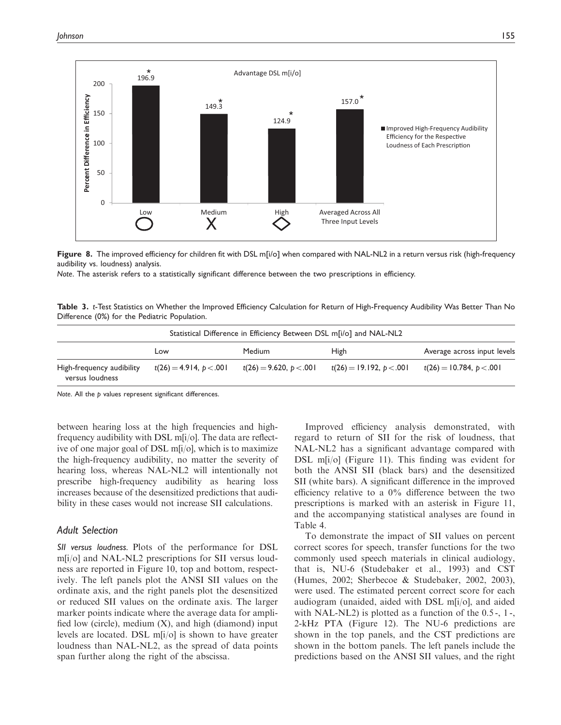

Figure 8. The improved efficiency for children fit with DSL m[i/o] when compared with NAL-NL2 in a return versus risk (high-frequency audibility vs. loudness) analysis.

Note. The asterisk refers to a statistically significant difference between the two prescriptions in efficiency.

Table 3. t-Test Statistics on Whether the Improved Efficiency Calculation for Return of High-Frequency Audibility Was Better Than No Difference (0%) for the Pediatric Population.

| Statistical Difference in Efficiency Between DSL m[i/o] and NAL-NL2 |                           |                           |                            |                             |  |  |  |  |  |
|---------------------------------------------------------------------|---------------------------|---------------------------|----------------------------|-----------------------------|--|--|--|--|--|
|                                                                     | Low                       | <b>Medium</b>             | High                       | Average across input levels |  |  |  |  |  |
| High-frequency audibility<br>versus loudness                        | $t(26) = 4.914, b < .001$ | $t(26) = 9.620, b < .001$ | $t(26) = 19.192, b < .001$ | $t(26) = 10.784, b < .001$  |  |  |  |  |  |

Note. All the  $p$  values represent significant differences.

between hearing loss at the high frequencies and highfrequency audibility with DSL m[i/o]. The data are reflective of one major goal of DSL m[i/o], which is to maximize the high-frequency audibility, no matter the severity of hearing loss, whereas NAL-NL2 will intentionally not prescribe high-frequency audibility as hearing loss increases because of the desensitized predictions that audibility in these cases would not increase SII calculations.

## Adult Selection

SII versus loudness. Plots of the performance for DSL m[i/o] and NAL-NL2 prescriptions for SII versus loudness are reported in Figure 10, top and bottom, respectively. The left panels plot the ANSI SII values on the ordinate axis, and the right panels plot the desensitized or reduced SII values on the ordinate axis. The larger marker points indicate where the average data for amplified low (circle), medium  $(X)$ , and high (diamond) input levels are located. DSL m[i/o] is shown to have greater loudness than NAL-NL2, as the spread of data points span further along the right of the abscissa.

Improved efficiency analysis demonstrated, with regard to return of SII for the risk of loudness, that NAL-NL2 has a significant advantage compared with DSL m[i/o] (Figure 11). This finding was evident for both the ANSI SII (black bars) and the desensitized SII (white bars). A significant difference in the improved efficiency relative to a 0% difference between the two prescriptions is marked with an asterisk in Figure 11, and the accompanying statistical analyses are found in Table 4.

To demonstrate the impact of SII values on percent correct scores for speech, transfer functions for the two commonly used speech materials in clinical audiology, that is, NU-6 (Studebaker et al., 1993) and CST (Humes, 2002; Sherbecoe & Studebaker, 2002, 2003), were used. The estimated percent correct score for each audiogram (unaided, aided with DSL m[i/o], and aided with NAL-NL2) is plotted as a function of the  $0.5$ -,  $1$ -, 2-kHz PTA (Figure 12). The NU-6 predictions are shown in the top panels, and the CST predictions are shown in the bottom panels. The left panels include the predictions based on the ANSI SII values, and the right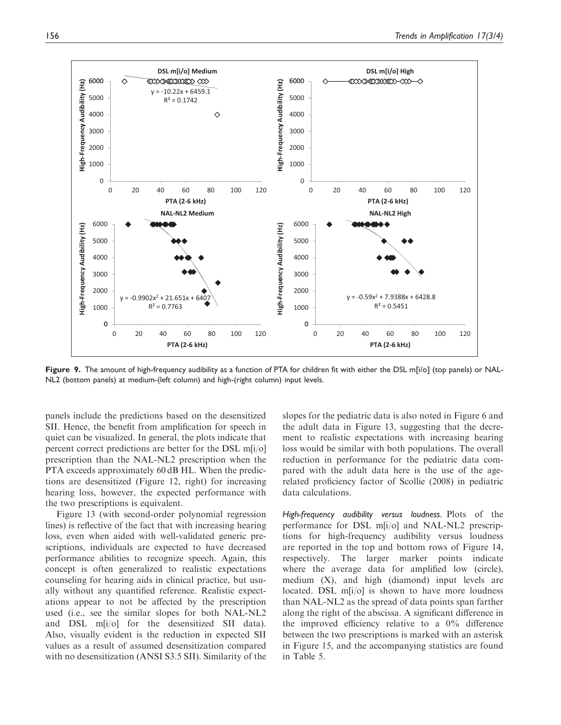

Figure 9. The amount of high-frequency audibility as a function of PTA for children fit with either the DSL m[i/o] (top panels) or NAL-NL2 (bottom panels) at medium-(left column) and high-(right column) input levels.

panels include the predictions based on the desensitized SII. Hence, the benefit from amplification for speech in quiet can be visualized. In general, the plots indicate that percent correct predictions are better for the DSL m[i/o] prescription than the NAL-NL2 prescription when the PTA exceeds approximately 60 dB HL. When the predictions are desensitized (Figure 12, right) for increasing hearing loss, however, the expected performance with the two prescriptions is equivalent.

Figure 13 (with second-order polynomial regression lines) is reflective of the fact that with increasing hearing loss, even when aided with well-validated generic prescriptions, individuals are expected to have decreased performance abilities to recognize speech. Again, this concept is often generalized to realistic expectations counseling for hearing aids in clinical practice, but usually without any quantified reference. Realistic expectations appear to not be affected by the prescription used (i.e., see the similar slopes for both NAL-NL2 and DSL m[i/o] for the desensitized SII data). Also, visually evident is the reduction in expected SII values as a result of assumed desensitization compared with no desensitization (ANSI S3.5 SII). Similarity of the slopes for the pediatric data is also noted in Figure 6 and the adult data in Figure 13, suggesting that the decrement to realistic expectations with increasing hearing loss would be similar with both populations. The overall reduction in performance for the pediatric data compared with the adult data here is the use of the agerelated proficiency factor of Scollie (2008) in pediatric data calculations.

High-frequency audibility versus loudness. Plots of the performance for DSL m[i/o] and NAL-NL2 prescriptions for high-frequency audibility versus loudness are reported in the top and bottom rows of Figure 14, respectively. The larger marker points indicate where the average data for amplified low (circle), medium (X), and high (diamond) input levels are located. DSL  $m[i/O]$  is shown to have more loudness than NAL-NL2 as the spread of data points span farther along the right of the abscissa. A significant difference in the improved efficiency relative to a 0% difference between the two prescriptions is marked with an asterisk in Figure 15, and the accompanying statistics are found in Table 5.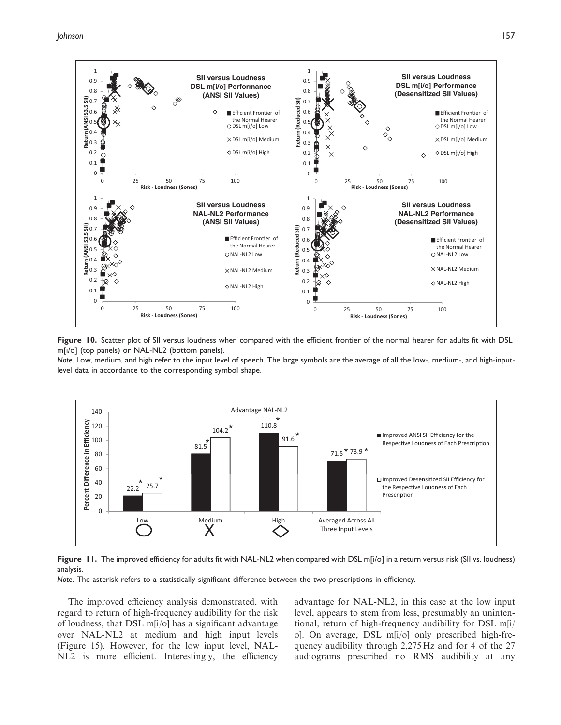

Figure 10. Scatter plot of SII versus loudness when compared with the efficient frontier of the normal hearer for adults fit with DSL m[i/o] (top panels) or NAL-NL2 (bottom panels).

Note. Low, medium, and high refer to the input level of speech. The large symbols are the average of all the low-, medium-, and high-inputlevel data in accordance to the corresponding symbol shape.



Figure 11. The improved efficiency for adults fit with NAL-NL2 when compared with DSL m[i/o] in a return versus risk (SII vs. loudness) analysis.

Note. The asterisk refers to a statistically significant difference between the two prescriptions in efficiency.

The improved efficiency analysis demonstrated, with regard to return of high-frequency audibility for the risk of loudness, that DSL m[i/o] has a significant advantage over NAL-NL2 at medium and high input levels (Figure 15). However, for the low input level, NAL-NL2 is more efficient. Interestingly, the efficiency

advantage for NAL-NL2, in this case at the low input level, appears to stem from less, presumably an unintentional, return of high-frequency audibility for DSL m[i/ o]. On average, DSL m[i/o] only prescribed high-frequency audibility through 2,275 Hz and for 4 of the 27 audiograms prescribed no RMS audibility at any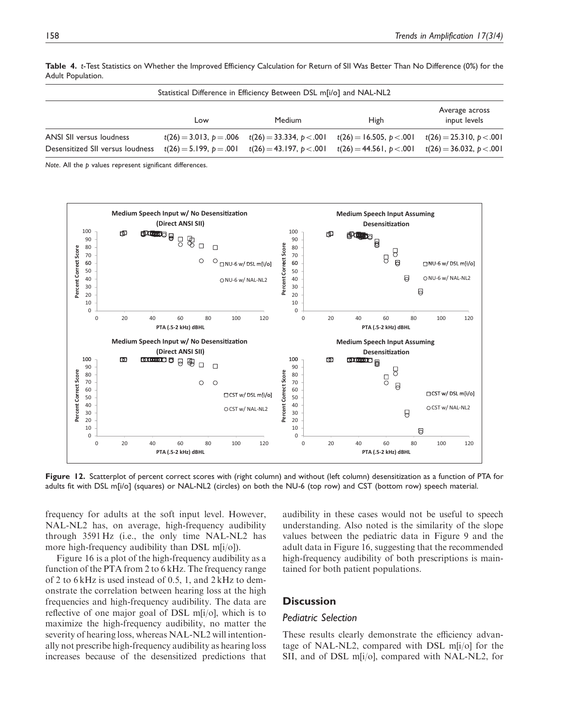| Statistical Difference in Efficiency Between DSL m[i/o] and NAL-NL2 |                           |                                                            |                            |                                |  |  |  |  |  |
|---------------------------------------------------------------------|---------------------------|------------------------------------------------------------|----------------------------|--------------------------------|--|--|--|--|--|
|                                                                     | Low                       | <b>Medium</b>                                              | High                       | Average across<br>input levels |  |  |  |  |  |
| ANSI SII versus loudness                                            |                           | $t(26) = 3.013$ , $p = .006$ $t(26) = 33.334$ , $p < .001$ | $t(26) = 16.505, p < .001$ | $t(26) = 25.310, p < .001$     |  |  |  |  |  |
| Desensitized SII versus loudness                                    | $t(26) = 5.199, b = .001$ | t(26) = 43.197, $p < .001$                                 | $t(26) = 44.561, b < .001$ | $t(26) = 36.032, b < .001$     |  |  |  |  |  |

Table 4. t-Test Statistics on Whether the Improved Efficiency Calculation for Return of SII Was Better Than No Difference (0%) for the Adult Population.

Note. All the  $p$  values represent significant differences.



Figure 12. Scatterplot of percent correct scores with (right column) and without (left column) desensitization as a function of PTA for adults fit with DSL m[i/o] (squares) or NAL-NL2 (circles) on both the NU-6 (top row) and CST (bottom row) speech material.

frequency for adults at the soft input level. However, NAL-NL2 has, on average, high-frequency audibility through 3591 Hz (i.e., the only time NAL-NL2 has more high-frequency audibility than DSL m[i/o]).

Figure 16 is a plot of the high-frequency audibility as a function of the PTA from 2 to 6 kHz. The frequency range of 2 to 6 kHz is used instead of 0.5, 1, and 2 kHz to demonstrate the correlation between hearing loss at the high frequencies and high-frequency audibility. The data are reflective of one major goal of DSL m[i/o], which is to maximize the high-frequency audibility, no matter the severity of hearing loss, whereas NAL-NL2 will intentionally not prescribe high-frequency audibility as hearing loss increases because of the desensitized predictions that audibility in these cases would not be useful to speech understanding. Also noted is the similarity of the slope values between the pediatric data in Figure 9 and the adult data in Figure 16, suggesting that the recommended high-frequency audibility of both prescriptions is maintained for both patient populations.

### **Discussion**

#### Pediatric Selection

These results clearly demonstrate the efficiency advantage of NAL-NL2, compared with DSL m[i/o] for the SII, and of DSL m[i/o], compared with NAL-NL2, for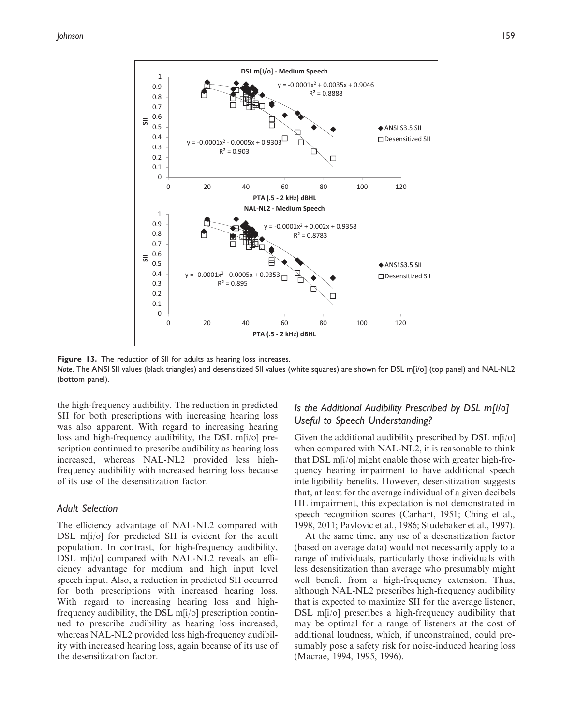

**Figure 13.** The reduction of SII for adults as hearing loss increases. Note. The ANSI SII values (black triangles) and desensitized SII values (white squares) are shown for DSL m[i/o] (top panel) and NAL-NL2 (bottom panel).

the high-frequency audibility. The reduction in predicted SII for both prescriptions with increasing hearing loss was also apparent. With regard to increasing hearing loss and high-frequency audibility, the DSL m[i/o] prescription continued to prescribe audibility as hearing loss increased, whereas NAL-NL2 provided less highfrequency audibility with increased hearing loss because of its use of the desensitization factor.

## Adult Selection

The efficiency advantage of NAL-NL2 compared with DSL m[i/o] for predicted SII is evident for the adult population. In contrast, for high-frequency audibility, DSL m[i/o] compared with NAL-NL2 reveals an efficiency advantage for medium and high input level speech input. Also, a reduction in predicted SII occurred for both prescriptions with increased hearing loss. With regard to increasing hearing loss and highfrequency audibility, the DSL m[i/o] prescription continued to prescribe audibility as hearing loss increased, whereas NAL-NL2 provided less high-frequency audibility with increased hearing loss, again because of its use of the desensitization factor.

## Is the Additional Audibility Prescribed by DSL m[i/o] Useful to Speech Understanding?

Given the additional audibility prescribed by DSL m[i/o] when compared with NAL-NL2, it is reasonable to think that DSL m[i/o] might enable those with greater high-frequency hearing impairment to have additional speech intelligibility benefits. However, desensitization suggests that, at least for the average individual of a given decibels HL impairment, this expectation is not demonstrated in speech recognition scores (Carhart, 1951; Ching et al., 1998, 2011; Pavlovic et al., 1986; Studebaker et al., 1997).

At the same time, any use of a desensitization factor (based on average data) would not necessarily apply to a range of individuals, particularly those individuals with less desensitization than average who presumably might well benefit from a high-frequency extension. Thus, although NAL-NL2 prescribes high-frequency audibility that is expected to maximize SII for the average listener, DSL m[i/o] prescribes a high-frequency audibility that may be optimal for a range of listeners at the cost of additional loudness, which, if unconstrained, could presumably pose a safety risk for noise-induced hearing loss (Macrae, 1994, 1995, 1996).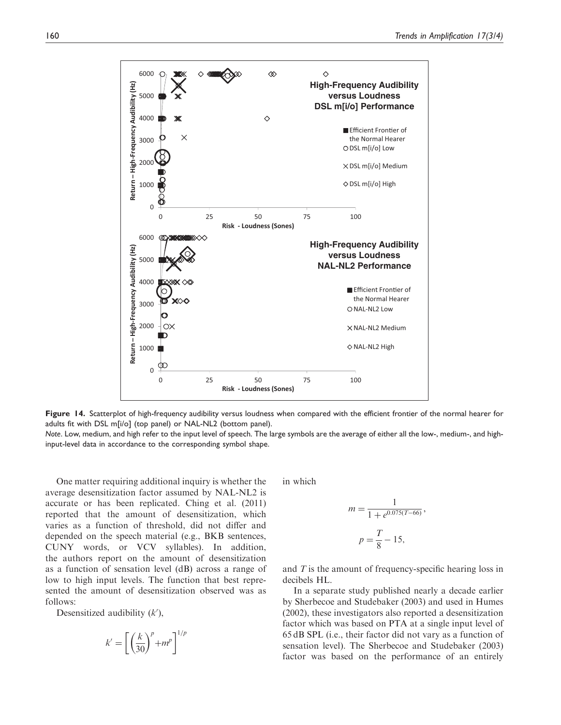

Figure 14. Scatterplot of high-frequency audibility versus loudness when compared with the efficient frontier of the normal hearer for adults fit with DSL m[i/o] (top panel) or NAL-NL2 (bottom panel).

Note. Low, medium, and high refer to the input level of speech. The large symbols are the average of either all the low-, medium-, and highinput-level data in accordance to the corresponding symbol shape.

One matter requiring additional inquiry is whether the average desensitization factor assumed by NAL-NL2 is accurate or has been replicated. Ching et al. (2011) reported that the amount of desensitization, which varies as a function of threshold, did not differ and depended on the speech material (e.g., BKB sentences, CUNY words, or VCV syllables). In addition, the authors report on the amount of desensitization as a function of sensation level (dB) across a range of low to high input levels. The function that best represented the amount of desensitization observed was as follows:

Desensitized audibility  $(k<sup>'</sup>)$ ,

$$
k' = \left[ \left( \frac{k}{30} \right)^p + m^p \right]^{1/p}
$$

in which

$$
m = \frac{1}{1 + e^{0.075(T - 66)}},
$$
  

$$
p = \frac{T}{8} - 15,
$$

and T is the amount of frequency-specific hearing loss in decibels HL.

In a separate study published nearly a decade earlier by Sherbecoe and Studebaker (2003) and used in Humes (2002), these investigators also reported a desensitization factor which was based on PTA at a single input level of 65 dB SPL (i.e., their factor did not vary as a function of sensation level). The Sherbecoe and Studebaker (2003) factor was based on the performance of an entirely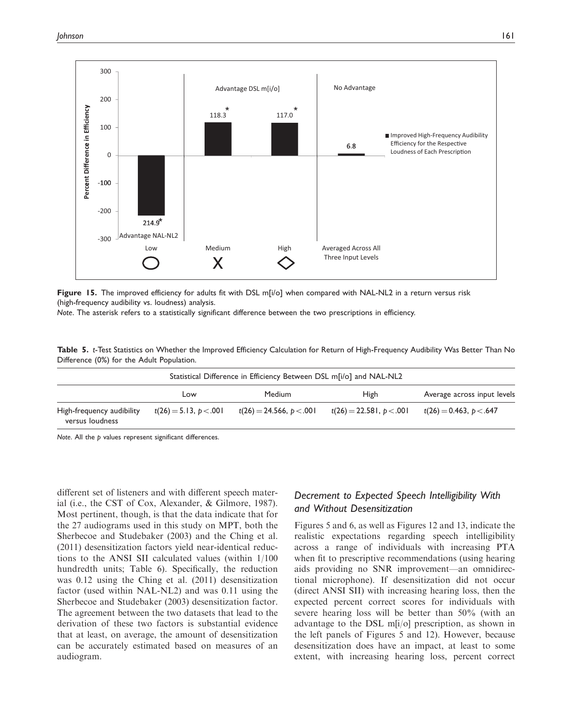

Figure 15. The improved efficiency for adults fit with DSL m[i/o] when compared with NAL-NL2 in a return versus risk (high-frequency audibility vs. loudness) analysis.

Note. The asterisk refers to a statistically significant difference between the two prescriptions in efficiency.

Table 5. t-Test Statistics on Whether the Improved Efficiency Calculation for Return of High-Frequency Audibility Was Better Than No Difference (0%) for the Adult Population.

| Statistical Difference in Efficiency Between DSL m[i/o] and NAL-NL2 |                          |                            |                            |                             |  |  |  |  |  |  |
|---------------------------------------------------------------------|--------------------------|----------------------------|----------------------------|-----------------------------|--|--|--|--|--|--|
|                                                                     | Low                      | <b>Medium</b>              | High                       | Average across input levels |  |  |  |  |  |  |
| High-frequency audibility<br>versus loudness                        | $t(26) = 5.13, b < .001$ | $t(26) = 24.566, b < .001$ | $t(26) = 22.581, b < .001$ | $t(26) = 0.463, b < .647$   |  |  |  |  |  |  |

Note. All the  $p$  values represent significant differences.

different set of listeners and with different speech material (i.e., the CST of Cox, Alexander, & Gilmore, 1987). Most pertinent, though, is that the data indicate that for the 27 audiograms used in this study on MPT, both the Sherbecoe and Studebaker (2003) and the Ching et al. (2011) desensitization factors yield near-identical reductions to the ANSI SII calculated values (within 1/100 hundredth units; Table 6). Specifically, the reduction was 0.12 using the Ching et al. (2011) desensitization factor (used within NAL-NL2) and was 0.11 using the Sherbecoe and Studebaker (2003) desensitization factor. The agreement between the two datasets that lead to the derivation of these two factors is substantial evidence that at least, on average, the amount of desensitization can be accurately estimated based on measures of an audiogram.

## Decrement to Expected Speech Intelligibility With and Without Desensitization

Figures 5 and 6, as well as Figures 12 and 13, indicate the realistic expectations regarding speech intelligibility across a range of individuals with increasing PTA when fit to prescriptive recommendations (using hearing aids providing no SNR improvement—an omnidirectional microphone). If desensitization did not occur (direct ANSI SII) with increasing hearing loss, then the expected percent correct scores for individuals with severe hearing loss will be better than 50% (with an advantage to the DSL m[i/o] prescription, as shown in the left panels of Figures 5 and 12). However, because desensitization does have an impact, at least to some extent, with increasing hearing loss, percent correct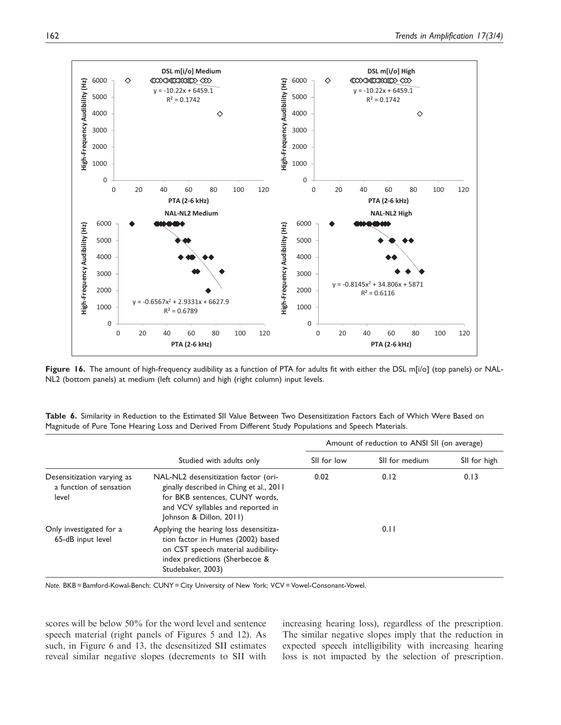

Figure 16. The amount of high-frequency audibility as a function of PTA for adults fit with either the DSL m[i/o] (top panels) or NAL-NL2 (bottom panels) at medium (left column) and high (right column) input levels.

|  |  |  | Table 6. Similarity in Reduction to the Estimated SII Value Between Two Desensitization Factors Each of Which Were Based on |  |  |  |
|--|--|--|-----------------------------------------------------------------------------------------------------------------------------|--|--|--|
|  |  |  | Magnitude of Pure Tone Hearing Loss and Derived From Different Study Populations and Speech Materials.                      |  |  |  |

|                                                                |                                                                                                                                                                                             |             | Amount of reduction to ANSI SII (on average) |              |
|----------------------------------------------------------------|---------------------------------------------------------------------------------------------------------------------------------------------------------------------------------------------|-------------|----------------------------------------------|--------------|
|                                                                | Studied with adults only                                                                                                                                                                    | SII for low | SII for medium                               | SII for high |
| Desensitization varying as<br>a function of sensation<br>level | NAL-NL2 desensitization factor (ori-<br>ginally described in Ching et al., 2011<br>for BKB sentences. CUNY words.<br>and VCV syllables and reported in<br>$\lambda$ lohnson & Dillon, 2011) | 0.02        | 0.12                                         | 0.13         |
| Only investigated for a<br>65-dB input level                   | Applying the hearing loss desensitiza-<br>tion factor in Humes (2002) based<br>on CST speech material audibility-<br>index predictions (Sherbecoe &<br>Studebaker, 2003)                    |             | 0.11                                         |              |

Note. BKB = Bamford-Kowal-Bench; CUNY = City University of New York; VCV = Vowel-Consonant-Vowel.

scores will be below 50% for the word level and sentence speech material (right panels of Figures 5 and 12). As such, in Figure 6 and 13, the desensitized SII estimates reveal similar negative slopes (decrements to SII with increasing hearing loss), regardless of the prescription. The similar negative slopes imply that the reduction in expected speech intelligibility with increasing hearing loss is not impacted by the selection of prescription.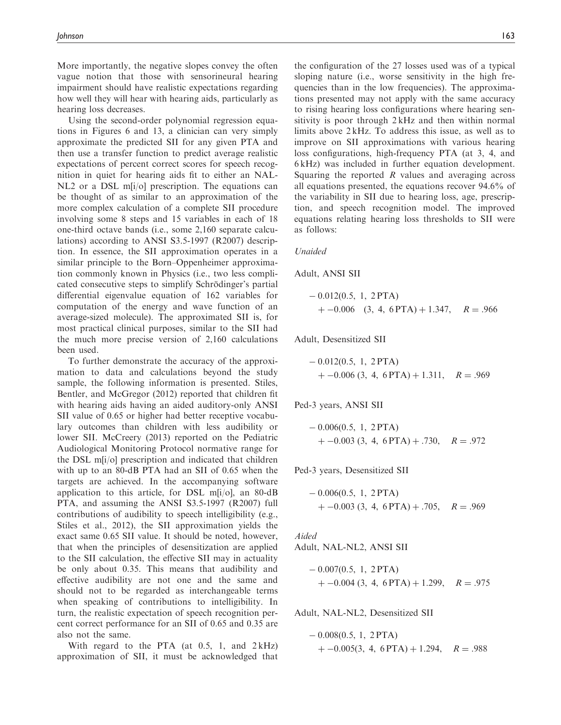More importantly, the negative slopes convey the often vague notion that those with sensorineural hearing impairment should have realistic expectations regarding how well they will hear with hearing aids, particularly as hearing loss decreases.

Using the second-order polynomial regression equations in Figures 6 and 13, a clinician can very simply approximate the predicted SII for any given PTA and then use a transfer function to predict average realistic expectations of percent correct scores for speech recognition in quiet for hearing aids fit to either an NAL-NL2 or a DSL m[i/o] prescription. The equations can be thought of as similar to an approximation of the more complex calculation of a complete SII procedure involving some 8 steps and 15 variables in each of 18 one-third octave bands (i.e., some 2,160 separate calculations) according to ANSI S3.5-1997 (R2007) description. In essence, the SII approximation operates in a similar principle to the Born–Oppenheimer approximation commonly known in Physics (i.e., two less complicated consecutive steps to simplify Schrödinger's partial differential eigenvalue equation of 162 variables for computation of the energy and wave function of an average-sized molecule). The approximated SII is, for most practical clinical purposes, similar to the SII had the much more precise version of 2,160 calculations been used.

To further demonstrate the accuracy of the approximation to data and calculations beyond the study sample, the following information is presented. Stiles, Bentler, and McGregor (2012) reported that children fit with hearing aids having an aided auditory-only ANSI SII value of 0.65 or higher had better receptive vocabulary outcomes than children with less audibility or lower SII. McCreery (2013) reported on the Pediatric Audiological Monitoring Protocol normative range for the DSL m[i/o] prescription and indicated that children with up to an 80-dB PTA had an SII of 0.65 when the targets are achieved. In the accompanying software application to this article, for DSL m[i/o], an 80-dB PTA, and assuming the ANSI S3.5-1997 (R2007) full contributions of audibility to speech intelligibility (e.g., Stiles et al., 2012), the SII approximation yields the exact same 0.65 SII value. It should be noted, however, that when the principles of desensitization are applied to the SII calculation, the effective SII may in actuality be only about 0.35. This means that audibility and effective audibility are not one and the same and should not to be regarded as interchangeable terms when speaking of contributions to intelligibility. In turn, the realistic expectation of speech recognition percent correct performance for an SII of 0.65 and 0.35 are also not the same.

With regard to the PTA (at  $0.5$ , 1, and  $2kHz$ ) approximation of SII, it must be acknowledged that

the configuration of the 27 losses used was of a typical sloping nature (i.e., worse sensitivity in the high frequencies than in the low frequencies). The approximations presented may not apply with the same accuracy to rising hearing loss configurations where hearing sensitivity is poor through 2 kHz and then within normal limits above 2 kHz. To address this issue, as well as to improve on SII approximations with various hearing loss configurations, high-frequency PTA (at 3, 4, and 6 kHz) was included in further equation development. Squaring the reported  $R$  values and averaging across all equations presented, the equations recover 94.6% of the variability in SII due to hearing loss, age, prescription, and speech recognition model. The improved equations relating hearing loss thresholds to SII were as follows:

#### Unaided

Adult, ANSI SII

$$
- 0.012(0.5, 1, 2 \text{ PTA}) + -0.006 \quad (3, 4, 6 \text{ PTA}) + 1.347, \quad R = .966
$$

Adult, Desensitized SII

$$
- 0.012(0.5, 1, 2 \text{ PTA}) + -0.006(3, 4, 6 \text{ PTA}) + 1.311, R = .969
$$

Ped-3 years, ANSI SII

$$
- 0.006(0.5, 1, 2\text{ PTA}) + -0.003(3, 4, 6\text{ PTA}) + .730, R = .972
$$

Ped-3 years, Desensitized SII

$$
- 0.006(0.5, 1, 2PTA)
$$
  
+ -0.003 (3, 4, 6PTA) + .705,  $R = .969$ 

Aided

Adult, NAL-NL2, ANSI SII

$$
- 0.007(0.5, 1, 2\text{ PTA}) + -0.004(3, 4, 6\text{ PTA}) + 1.299, R = .975
$$

Adult, NAL-NL2, Desensitized SII

$$
- 0.008(0.5, 1, 2 \text{ PTA}) + -0.005(3, 4, 6 \text{ PTA}) + 1.294, R = .988
$$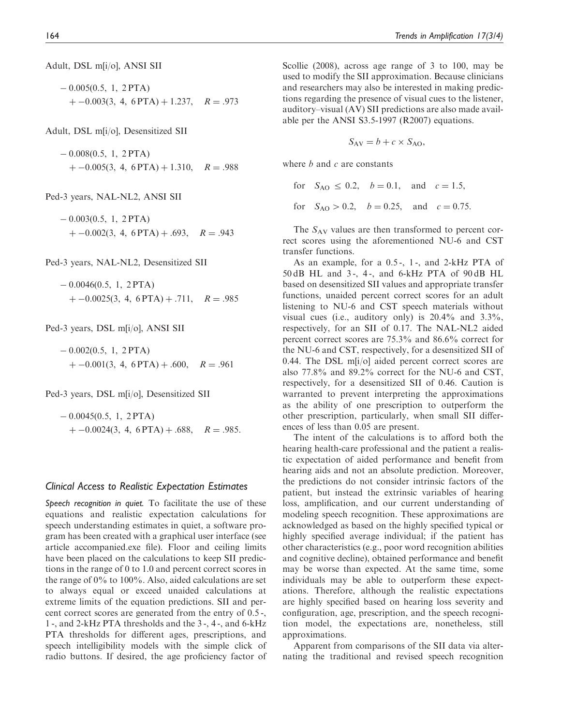Adult, DSL m[i/o], ANSI SII

 $-0.005(0.5, 1, 2PTA)$  $+ -0.003(3, 4, 6\text{ PTA}) + 1.237, R = .973$ 

Adult, DSL m[i/o], Desensitized SII

 $-0.008(0.5, 1, 2PTA)$  $+ -0.005(3, 4, 6\text{ PTA}) + 1.310, R = .988$ 

Ped-3 years, NAL-NL2, ANSI SII

 $-0.003(0.5, 1, 2PTA)$  $+ -0.002(3, 4, 6PTA) + .693, R = .943$ 

Ped-3 years, NAL-NL2, Desensitized SII

 $-0.0046(0.5, 1, 2PTA)$  $+ -0.0025(3, 4, 6\text{ PTA}) + .711, R = .985$ 

Ped-3 years, DSL m[i/o], ANSI SII

 $-0.002(0.5, 1, 2PTA)$  $+ -0.001(3, 4, 6PTA) + .600, R = .961$ 

Ped-3 years, DSL m[i/o], Desensitized SII

 $-0.0045(0.5, 1, 2PTA)$  $+ -0.0024(3, 4, 6PTA) + .688, R = .985.$ 

#### Clinical Access to Realistic Expectation Estimates

Speech recognition in quiet. To facilitate the use of these equations and realistic expectation calculations for speech understanding estimates in quiet, a software program has been created with a graphical user interface (see article accompanied.exe file). Floor and ceiling limits have been placed on the calculations to keep SII predictions in the range of 0 to 1.0 and percent correct scores in the range of  $0\%$  to  $100\%$ . Also, aided calculations are set to always equal or exceed unaided calculations at extreme limits of the equation predictions. SII and percent correct scores are generated from the entry of 0.5 -, 1 -, and 2-kHz PTA thresholds and the 3 -, 4 -, and 6-kHz PTA thresholds for different ages, prescriptions, and speech intelligibility models with the simple click of radio buttons. If desired, the age proficiency factor of Scollie (2008), across age range of 3 to 100, may be used to modify the SII approximation. Because clinicians and researchers may also be interested in making predictions regarding the presence of visual cues to the listener, auditory–visual (AV) SII predictions are also made available per the ANSI S3.5-1997 (R2007) equations.

$$
S_{\rm AV} = b + c \times S_{\rm AO},
$$

where  $b$  and  $c$  are constants

for  $S_{AO} \le 0.2$ ,  $b = 0.1$ , and  $c = 1.5$ , for  $S_{AO} > 0.2$ ,  $b = 0.25$ , and  $c = 0.75$ .

The  $S_{AV}$  values are then transformed to percent correct scores using the aforementioned NU-6 and CST transfer functions.

As an example, for a 0.5 -, 1 -, and 2-kHz PTA of 50 dB HL and 3 -, 4 -, and 6-kHz PTA of 90 dB HL based on desensitized SII values and appropriate transfer functions, unaided percent correct scores for an adult listening to NU-6 and CST speech materials without visual cues (i.e., auditory only) is 20.4% and 3.3%, respectively, for an SII of 0.17. The NAL-NL2 aided percent correct scores are 75.3% and 86.6% correct for the NU-6 and CST, respectively, for a desensitized SII of 0.44. The DSL m[i/o] aided percent correct scores are also 77.8% and 89.2% correct for the NU-6 and CST, respectively, for a desensitized SII of 0.46. Caution is warranted to prevent interpreting the approximations as the ability of one prescription to outperform the other prescription, particularly, when small SII differences of less than 0.05 are present.

The intent of the calculations is to afford both the hearing health-care professional and the patient a realistic expectation of aided performance and benefit from hearing aids and not an absolute prediction. Moreover, the predictions do not consider intrinsic factors of the patient, but instead the extrinsic variables of hearing loss, amplification, and our current understanding of modeling speech recognition. These approximations are acknowledged as based on the highly specified typical or highly specified average individual; if the patient has other characteristics (e.g., poor word recognition abilities and cognitive decline), obtained performance and benefit may be worse than expected. At the same time, some individuals may be able to outperform these expectations. Therefore, although the realistic expectations are highly specified based on hearing loss severity and configuration, age, prescription, and the speech recognition model, the expectations are, nonetheless, still approximations.

Apparent from comparisons of the SII data via alternating the traditional and revised speech recognition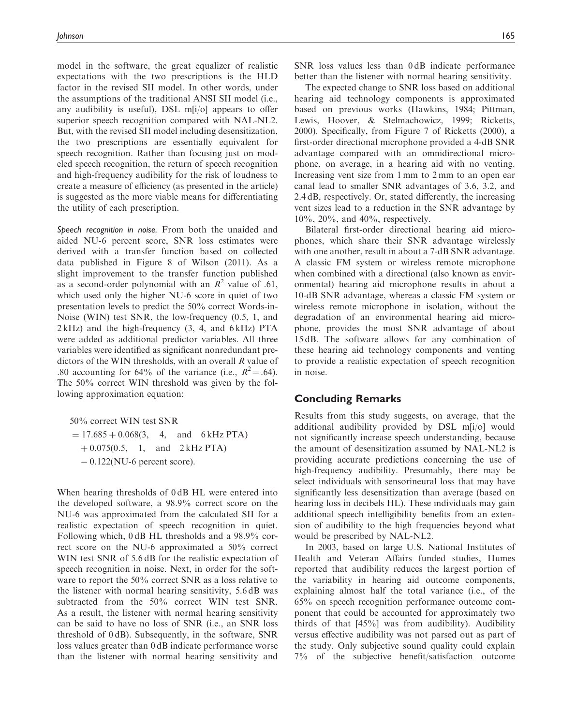model in the software, the great equalizer of realistic expectations with the two prescriptions is the HLD factor in the revised SII model. In other words, under the assumptions of the traditional ANSI SII model (i.e., any audibility is useful), DSL m[i/o] appears to offer superior speech recognition compared with NAL-NL2. But, with the revised SII model including desensitization, the two prescriptions are essentially equivalent for speech recognition. Rather than focusing just on modeled speech recognition, the return of speech recognition and high-frequency audibility for the risk of loudness to create a measure of efficiency (as presented in the article) is suggested as the more viable means for differentiating the utility of each prescription.

Speech recognition in noise. From both the unaided and aided NU-6 percent score, SNR loss estimates were derived with a transfer function based on collected data published in Figure 8 of Wilson (2011). As a slight improvement to the transfer function published as a second-order polynomial with an  $R^2$  value of .61, which used only the higher NU-6 score in quiet of two presentation levels to predict the 50% correct Words-in-Noise (WIN) test SNR, the low-frequency (0.5, 1, and  $2$  kHz) and the high-frequency  $(3, 4, 4)$  and  $6$  kHz) PTA were added as additional predictor variables. All three variables were identified as significant nonredundant predictors of the WIN thresholds, with an overall  $R$  value of .80 accounting for 64% of the variance (i.e.,  $R^2 = .64$ ). The 50% correct WIN threshold was given by the following approximation equation:

50% correct WIN test SNR  $= 17.685 + 0.068(3, 4, and 6 kHz PTA)$  $+0.075(0.5, 1, and 2 kHz PTA)$  $-0.122$ (NU-6 percent score).

When hearing thresholds of 0 dB HL were entered into the developed software, a 98.9% correct score on the NU-6 was approximated from the calculated SII for a realistic expectation of speech recognition in quiet. Following which, 0 dB HL thresholds and a 98.9% correct score on the NU-6 approximated a 50% correct WIN test SNR of 5.6 dB for the realistic expectation of speech recognition in noise. Next, in order for the software to report the 50% correct SNR as a loss relative to the listener with normal hearing sensitivity, 5.6 dB was subtracted from the 50% correct WIN test SNR. As a result, the listener with normal hearing sensitivity can be said to have no loss of SNR (i.e., an SNR loss threshold of 0 dB). Subsequently, in the software, SNR loss values greater than 0 dB indicate performance worse than the listener with normal hearing sensitivity and SNR loss values less than 0 dB indicate performance better than the listener with normal hearing sensitivity.

The expected change to SNR loss based on additional hearing aid technology components is approximated based on previous works (Hawkins, 1984; Pittman, Lewis, Hoover, & Stelmachowicz, 1999; Ricketts, 2000). Specifically, from Figure 7 of Ricketts (2000), a first-order directional microphone provided a 4-dB SNR advantage compared with an omnidirectional microphone, on average, in a hearing aid with no venting. Increasing vent size from 1 mm to 2 mm to an open ear canal lead to smaller SNR advantages of 3.6, 3.2, and 2.4 dB, respectively. Or, stated differently, the increasing vent sizes lead to a reduction in the SNR advantage by 10%, 20%, and 40%, respectively.

Bilateral first-order directional hearing aid microphones, which share their SNR advantage wirelessly with one another, result in about a 7-dB SNR advantage. A classic FM system or wireless remote microphone when combined with a directional (also known as environmental) hearing aid microphone results in about a 10-dB SNR advantage, whereas a classic FM system or wireless remote microphone in isolation, without the degradation of an environmental hearing aid microphone, provides the most SNR advantage of about 15 dB. The software allows for any combination of these hearing aid technology components and venting to provide a realistic expectation of speech recognition in noise.

### Concluding Remarks

Results from this study suggests, on average, that the additional audibility provided by DSL m[i/o] would not significantly increase speech understanding, because the amount of desensitization assumed by NAL-NL2 is providing accurate predictions concerning the use of high-frequency audibility. Presumably, there may be select individuals with sensorineural loss that may have significantly less desensitization than average (based on hearing loss in decibels HL). These individuals may gain additional speech intelligibility benefits from an extension of audibility to the high frequencies beyond what would be prescribed by NAL-NL2.

In 2003, based on large U.S. National Institutes of Health and Veteran Affairs funded studies, Humes reported that audibility reduces the largest portion of the variability in hearing aid outcome components, explaining almost half the total variance (i.e., of the 65% on speech recognition performance outcome component that could be accounted for approximately two thirds of that [45%] was from audibility). Audibility versus effective audibility was not parsed out as part of the study. Only subjective sound quality could explain 7% of the subjective benefit/satisfaction outcome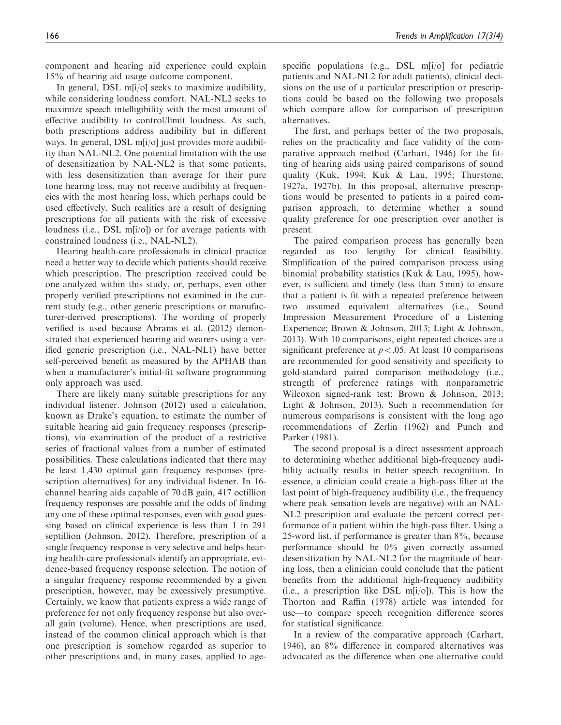component and hearing aid experience could explain 15% of hearing aid usage outcome component.

In general, DSL m[i/o] seeks to maximize audibility, while considering loudness comfort. NAL-NL2 seeks to maximize speech intelligibility with the most amount of effective audibility to control/limit loudness. As such, both prescriptions address audibility but in different ways. In general, DSL m[i/o] just provides more audibility than NAL-NL2. One potential limitation with the use of desensitization by NAL-NL2 is that some patients, with less desensitization than average for their pure tone hearing loss, may not receive audibility at frequencies with the most hearing loss, which perhaps could be used effectively. Such realities are a result of designing prescriptions for all patients with the risk of excessive loudness (i.e., DSL m[i/o]) or for average patients with constrained loudness (i.e., NAL-NL2).

Hearing health-care professionals in clinical practice need a better way to decide which patients should receive which prescription. The prescription received could be one analyzed within this study, or, perhaps, even other properly verified prescriptions not examined in the current study (e.g., other generic prescriptions or manufacturer-derived prescriptions). The wording of properly verified is used because Abrams et al. (2012) demonstrated that experienced hearing aid wearers using a verified generic prescription (i.e., NAL-NL1) have better self-perceived benefit as measured by the APHAB than when a manufacturer's initial-fit software programming only approach was used.

There are likely many suitable prescriptions for any individual listener. Johnson (2012) used a calculation, known as Drake's equation, to estimate the number of suitable hearing aid gain frequency responses (prescriptions), via examination of the product of a restrictive series of fractional values from a number of estimated possibilities. These calculations indicated that there may be least 1,430 optimal gain–frequency responses (prescription alternatives) for any individual listener. In 16 channel hearing aids capable of 70 dB gain, 417 octillion frequency responses are possible and the odds of finding any one of these optimal responses, even with good guessing based on clinical experience is less than 1 in 291 septillion (Johnson, 2012). Therefore, prescription of a single frequency response is very selective and helps hearing health-care professionals identify an appropriate, evidence-based frequency response selection. The notion of a singular frequency response recommended by a given prescription, however, may be excessively presumptive. Certainly, we know that patients express a wide range of preference for not only frequency response but also overall gain (volume). Hence, when prescriptions are used, instead of the common clinical approach which is that one prescription is somehow regarded as superior to other prescriptions and, in many cases, applied to agespecific populations (e.g., DSL m[i/o] for pediatric patients and NAL-NL2 for adult patients), clinical decisions on the use of a particular prescription or prescriptions could be based on the following two proposals which compare allow for comparison of prescription alternatives.

The first, and perhaps better of the two proposals, relies on the practicality and face validity of the comparative approach method (Carhart, 1946) for the fitting of hearing aids using paired comparisons of sound quality (Kuk, 1994; Kuk & Lau, 1995; Thurstone, 1927a, 1927b). In this proposal, alternative prescriptions would be presented to patients in a paired comparison approach, to determine whether a sound quality preference for one prescription over another is present.

The paired comparison process has generally been regarded as too lengthy for clinical feasibility. Simplification of the paired comparison process using binomial probability statistics (Kuk & Lau, 1995), however, is sufficient and timely (less than 5 min) to ensure that a patient is fit with a repeated preference between two assumed equivalent alternatives (i.e., Sound Impression Measurement Procedure of a Listening Experience; Brown & Johnson, 2013; Light & Johnson, 2013). With 10 comparisons, eight repeated choices are a significant preference at  $p < .05$ . At least 10 comparisons are recommended for good sensitivity and specificity to gold-standard paired comparison methodology (i.e., strength of preference ratings with nonparametric Wilcoxon signed-rank test; Brown & Johnson, 2013; Light & Johnson, 2013). Such a recommendation for numerous comparisons is consistent with the long ago recommendations of Zerlin (1962) and Punch and Parker (1981).

The second proposal is a direct assessment approach to determining whether additional high-frequency audibility actually results in better speech recognition. In essence, a clinician could create a high-pass filter at the last point of high-frequency audibility (i.e., the frequency where peak sensation levels are negative) with an NAL-NL2 prescription and evaluate the percent correct performance of a patient within the high-pass filter. Using a 25-word list, if performance is greater than 8%, because performance should be 0% given correctly assumed desensitization by NAL-NL2 for the magnitude of hearing loss, then a clinician could conclude that the patient benefits from the additional high-frequency audibility (i.e., a prescription like DSL m[i/o]). This is how the Thorton and Raffin (1978) article was intended for use—to compare speech recognition difference scores for statistical significance.

In a review of the comparative approach (Carhart, 1946), an 8% difference in compared alternatives was advocated as the difference when one alternative could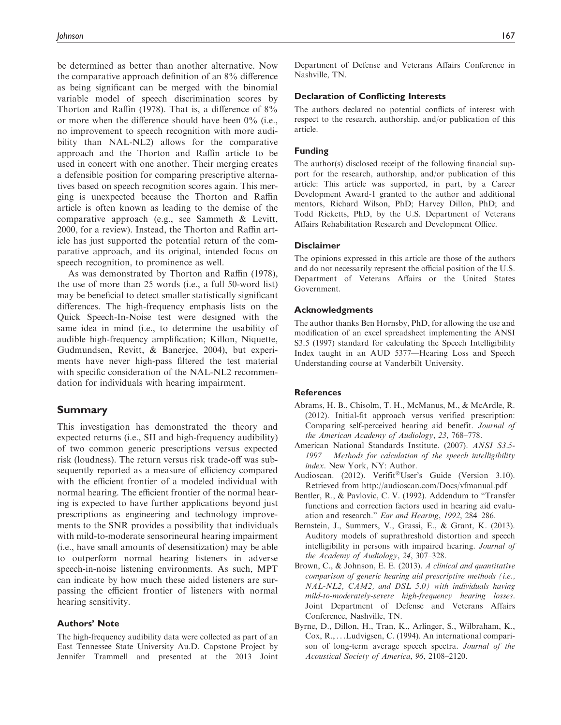be determined as better than another alternative. Now the comparative approach definition of an 8% difference as being significant can be merged with the binomial variable model of speech discrimination scores by Thorton and Raffin (1978). That is, a difference of 8% or more when the difference should have been 0% (i.e., no improvement to speech recognition with more audibility than NAL-NL2) allows for the comparative approach and the Thorton and Raffin article to be used in concert with one another. Their merging creates a defensible position for comparing prescriptive alternatives based on speech recognition scores again. This merging is unexpected because the Thorton and Raffin article is often known as leading to the demise of the comparative approach (e.g., see Sammeth & Levitt, 2000, for a review). Instead, the Thorton and Raffin article has just supported the potential return of the comparative approach, and its original, intended focus on speech recognition, to prominence as well.

As was demonstrated by Thorton and Raffin (1978), the use of more than 25 words (i.e., a full 50-word list) may be beneficial to detect smaller statistically significant differences. The high-frequency emphasis lists on the Quick Speech-In-Noise test were designed with the same idea in mind (i.e., to determine the usability of audible high-frequency amplification; Killon, Niquette, Gudmundsen, Revitt, & Banerjee, 2004), but experiments have never high-pass filtered the test material with specific consideration of the NAL-NL2 recommendation for individuals with hearing impairment.

### Summary

This investigation has demonstrated the theory and expected returns (i.e., SII and high-frequency audibility) of two common generic prescriptions versus expected risk (loudness). The return versus risk trade-off was subsequently reported as a measure of efficiency compared with the efficient frontier of a modeled individual with normal hearing. The efficient frontier of the normal hearing is expected to have further applications beyond just prescriptions as engineering and technology improvements to the SNR provides a possibility that individuals with mild-to-moderate sensorineural hearing impairment (i.e., have small amounts of desensitization) may be able to outperform normal hearing listeners in adverse speech-in-noise listening environments. As such, MPT can indicate by how much these aided listeners are surpassing the efficient frontier of listeners with normal hearing sensitivity.

#### Authors' Note

The high-frequency audibility data were collected as part of an East Tennessee State University Au.D. Capstone Project by Jennifer Trammell and presented at the 2013 Joint Department of Defense and Veterans Affairs Conference in Nashville, TN.

#### Declaration of Conflicting Interests

The authors declared no potential conflicts of interest with respect to the research, authorship, and/or publication of this article.

#### Funding

The author(s) disclosed receipt of the following financial support for the research, authorship, and/or publication of this article: This article was supported, in part, by a Career Development Award-1 granted to the author and additional mentors, Richard Wilson, PhD; Harvey Dillon, PhD; and Todd Ricketts, PhD, by the U.S. Department of Veterans Affairs Rehabilitation Research and Development Office.

#### Disclaimer

The opinions expressed in this article are those of the authors and do not necessarily represent the official position of the U.S. Department of Veterans Affairs or the United States Government.

#### Acknowledgments

The author thanks Ben Hornsby, PhD, for allowing the use and modification of an excel spreadsheet implementing the ANSI S3.5 (1997) standard for calculating the Speech Intelligibility Index taught in an AUD 5377—Hearing Loss and Speech Understanding course at Vanderbilt University.

#### **References**

- Abrams, H. B., Chisolm, T. H., McManus, M., & McArdle, R. (2012). Initial-fit approach versus verified prescription: Comparing self-perceived hearing aid benefit. Journal of the American Academy of Audiology, 23, 768–778.
- American National Standards Institute. (2007). ANSI S3.5- 1997 – Methods for calculation of the speech intelligibility index. New York, NY: Author.
- Audioscan. (2012). Verifit®User's Guide (Version 3.10). Retrieved from http://audioscan.com/Docs/vfmanual.pdf
- Bentler, R., & Pavlovic, C. V. (1992). Addendum to "Transfer functions and correction factors used in hearing aid evaluation and research." Ear and Hearing, 1992, 284–286.
- Bernstein, J., Summers, V., Grassi, E., & Grant, K. (2013). Auditory models of suprathreshold distortion and speech intelligibility in persons with impaired hearing. Journal of the Academy of Audiology, 24, 307–328.
- Brown, C., & Johnson, E. E. (2013). A clinical and quantitative comparison of generic hearing aid prescriptive methods (i.e., NAL-NL2, CAM2, and DSL 5.0) with individuals having mild-to-moderately-severe high-frequency hearing losses. Joint Department of Defense and Veterans Affairs Conference, Nashville, TN.
- Byrne, D., Dillon, H., Tran, K., Arlinger, S., Wilbraham, K., Cox, R., ...Ludvigsen, C. (1994). An international comparison of long-term average speech spectra. Journal of the Acoustical Society of America, 96, 2108–2120.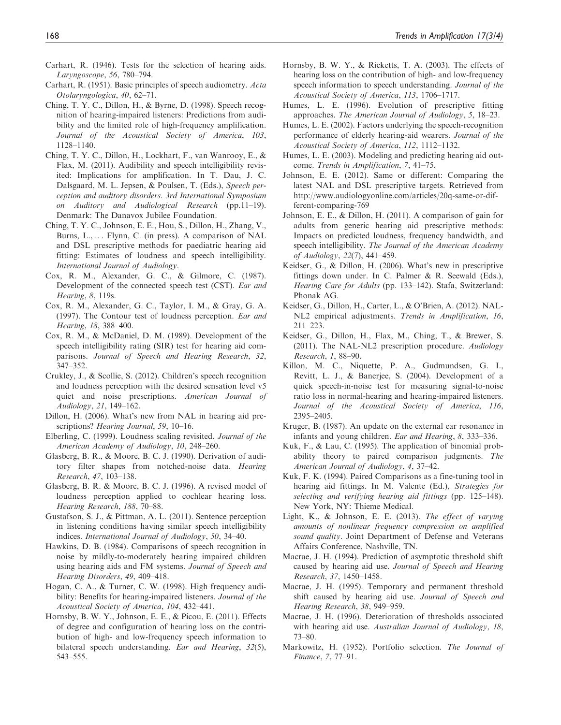- Carhart, R. (1946). Tests for the selection of hearing aids. Laryngoscope, 56, 780–794.
- Carhart, R. (1951). Basic principles of speech audiometry. Acta Otolaryngologica, 40, 62–71.
- Ching, T. Y. C., Dillon, H., & Byrne, D. (1998). Speech recognition of hearing-impaired listeners: Predictions from audibility and the limited role of high-frequency amplification. Journal of the Acoustical Society of America, 103, 1128–1140.
- Ching, T. Y. C., Dillon, H., Lockhart, F., van Wanrooy, E., & Flax, M. (2011). Audibility and speech intelligibility revisited: Implications for amplification. In T. Dau, J. C. Dalsgaard, M. L. Jepsen, & Poulsen, T. (Eds.), Speech perception and auditory disorders. 3rd International Symposium on Auditory and Audiological Research (pp.11–19). Denmark: The Danavox Jubilee Foundation.
- Ching, T. Y. C., Johnson, E. E., Hou, S., Dillon, H., Zhang, V., Burns, L., ... Flynn, C. (in press). A comparison of NAL and DSL prescriptive methods for paediatric hearing aid fitting: Estimates of loudness and speech intelligibility. International Journal of Audiology.
- Cox, R. M., Alexander, G. C., & Gilmore, C. (1987). Development of the connected speech test (CST). Ear and Hearing, 8, 119s.
- Cox, R. M., Alexander, G. C., Taylor, I. M., & Gray, G. A. (1997). The Contour test of loudness perception. Ear and Hearing, 18, 388–400.
- Cox, R. M., & McDaniel, D. M. (1989). Development of the speech intelligibility rating (SIR) test for hearing aid comparisons. Journal of Speech and Hearing Research, 32, 347–352.
- Crukley, J., & Scollie, S. (2012). Children's speech recognition and loudness perception with the desired sensation level v5 quiet and noise prescriptions. American Journal of Audiology, 21, 149–162.
- Dillon, H. (2006). What's new from NAL in hearing aid prescriptions? Hearing Journal, 59, 10-16.
- Elberling, C. (1999). Loudness scaling revisited. Journal of the American Academy of Audiology, 10, 248–260.
- Glasberg, B. R., & Moore, B. C. J. (1990). Derivation of auditory filter shapes from notched-noise data. Hearing Research, 47, 103–138.
- Glasberg, B. R. & Moore, B. C. J. (1996). A revised model of loudness perception applied to cochlear hearing loss. Hearing Research, 188, 70–88.
- Gustafson, S. J., & Pittman, A. L. (2011). Sentence perception in listening conditions having similar speech intelligibility indices. International Journal of Audiology, 50, 34–40.
- Hawkins, D. B. (1984). Comparisons of speech recognition in noise by mildly-to-moderately hearing impaired children using hearing aids and FM systems. Journal of Speech and Hearing Disorders, 49, 409–418.
- Hogan, C. A., & Turner, C. W. (1998). High frequency audibility: Benefits for hearing-impaired listeners. Journal of the Acoustical Society of America, 104, 432–441.
- Hornsby, B. W. Y., Johnson, E. E., & Picou, E. (2011). Effects of degree and configuration of hearing loss on the contribution of high- and low-frequency speech information to bilateral speech understanding. Ear and Hearing, 32(5), 543–555.
- Hornsby, B. W. Y., & Ricketts, T. A. (2003). The effects of hearing loss on the contribution of high- and low-frequency speech information to speech understanding. Journal of the Acoustical Society of America, 113, 1706–1717.
- Humes, L. E. (1996). Evolution of prescriptive fitting approaches. The American Journal of Audiology, 5, 18–23.
- Humes, L. E. (2002). Factors underlying the speech-recognition performance of elderly hearing-aid wearers. Journal of the Acoustical Society of America, 112, 1112–1132.
- Humes, L. E. (2003). Modeling and predicting hearing aid outcome. Trends in Amplification, 7, 41–75.
- Johnson, E. E. (2012). Same or different: Comparing the latest NAL and DSL prescriptive targets. Retrieved from [http://www.audiologyonline.com/articles/20q-same-or-dif](http://cmsu2.ucmo.edu/public/classes/Cowles/COUN%205410/NCCTE%20-%20Publications%20-%20NCRVE%20-%20MDS-855%20-%20Exemplary%20Career%20Guidance%20Programs.htm)[ferent-comparing-769](http://cmsu2.ucmo.edu/public/classes/Cowles/COUN%205410/NCCTE%20-%20Publications%20-%20NCRVE%20-%20MDS-855%20-%20Exemplary%20Career%20Guidance%20Programs.htm)
- Johnson, E. E., & Dillon, H. (2011). A comparison of gain for adults from generic hearing aid prescriptive methods: Impacts on predicted loudness, frequency bandwidth, and speech intelligibility. The Journal of the American Academy of Audiology, 22(7), 441–459.
- Keidser, G., & Dillon, H. (2006). What's new in prescriptive fittings down under. In C. Palmer & R. Seewald (Eds.), Hearing Care for Adults (pp. 133–142). Stafa, Switzerland: Phonak AG.
- Keidser, G., Dillon, H., Carter, L., & O'Brien, A. (2012). NAL-NL2 empirical adjustments. Trends in Amplification, 16, 211–223.
- Keidser, G., Dillon, H., Flax, M., Ching, T., & Brewer, S. (2011). The NAL-NL2 prescription procedure. Audiology Research, 1, 88–90.
- Killon, M. C., Niquette, P. A., Gudmundsen, G. I., Revitt, L. J., & Banerjee, S. (2004). Development of a quick speech-in-noise test for measuring signal-to-noise ratio loss in normal-hearing and hearing-impaired listeners. Journal of the Acoustical Society of America, 116, 2395–2405.
- Kruger, B. (1987). An update on the external ear resonance in infants and young children. Ear and Hearing, 8, 333–336.
- Kuk, F., & Lau, C. (1995). The application of binomial probability theory to paired comparison judgments. The American Journal of Audiology, 4, 37–42.
- Kuk, F. K. (1994). Paired Comparisons as a fine-tuning tool in hearing aid fittings. In M. Valente (Ed.), Strategies for selecting and verifying hearing aid fittings (pp. 125–148). New York, NY: Thieme Medical.
- Light, K., & Johnson, E. E. (2013). The effect of varying amounts of nonlinear frequency compression on amplified sound quality. Joint Department of Defense and Veterans Affairs Conference, Nashville, TN.
- Macrae, J. H. (1994). Prediction of asymptotic threshold shift caused by hearing aid use. Journal of Speech and Hearing Research, 37, 1450–1458.
- Macrae, J. H. (1995). Temporary and permanent threshold shift caused by hearing aid use. Journal of Speech and Hearing Research, 38, 949–959.
- Macrae, J. H. (1996). Deterioration of thresholds associated with hearing aid use. Australian Journal of Audiology, 18, 73–80.
- Markowitz, H. (1952). Portfolio selection. The Journal of Finance, 7, 77–91.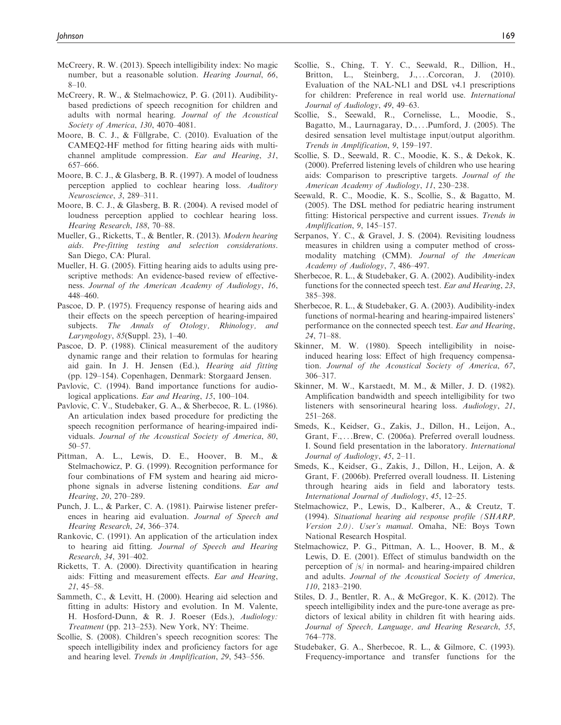- McCreery, R. W. (2013). Speech intelligibility index: No magic number, but a reasonable solution. Hearing Journal, 66,  $8 - 10$ .
- McCreery, R. W., & Stelmachowicz, P. G. (2011). Audibilitybased predictions of speech recognition for children and adults with normal hearing. Journal of the Acoustical Society of America, 130, 4070–4081.
- Moore, B. C. J., & Füllgrabe, C. (2010). Evaluation of the CAMEQ2-HF method for fitting hearing aids with multichannel amplitude compression. Ear and Hearing, 31, 657–666.
- Moore, B. C. J., & Glasberg, B. R. (1997). A model of loudness perception applied to cochlear hearing loss. Auditory Neuroscience, 3, 289–311.
- Moore, B. C. J., & Glasberg, B. R. (2004). A revised model of loudness perception applied to cochlear hearing loss. Hearing Research, 188, 70–88.
- Mueller, G., Ricketts, T., & Bentler, R. (2013). Modern hearing aids. Pre-fitting testing and selection considerations. San Diego, CA: Plural.
- Mueller, H. G. (2005). Fitting hearing aids to adults using prescriptive methods: An evidence-based review of effectiveness. Journal of the American Academy of Audiology, 16, 448–460.
- Pascoe, D. P. (1975). Frequency response of hearing aids and their effects on the speech perception of hearing-impaired subjects. The Annals of Otology, Rhinology, and Laryngology, 85(Suppl. 23), 1–40.
- Pascoe, D. P. (1988). Clinical measurement of the auditory dynamic range and their relation to formulas for hearing aid gain. In J. H. Jensen (Ed.), Hearing aid fitting (pp. 129–154). Copenhagen, Denmark: Storgaard Jensen.
- Pavlovic, C. (1994). Band importance functions for audiological applications. *Ear and Hearing*, 15, 100–104.
- Pavlovic, C. V., Studebaker, G. A., & Sherbecoe, R. L. (1986). An articulation index based procedure for predicting the speech recognition performance of hearing-impaired individuals. Journal of the Acoustical Society of America, 80, 50–57.
- Pittman, A. L., Lewis, D. E., Hoover, B. M., & Stelmachowicz, P. G. (1999). Recognition performance for four combinations of FM system and hearing aid microphone signals in adverse listening conditions. Ear and Hearing, 20, 270–289.
- Punch, J. L., & Parker, C. A. (1981). Pairwise listener preferences in hearing aid evaluation. Journal of Speech and Hearing Research, 24, 366–374.
- Rankovic, C. (1991). An application of the articulation index to hearing aid fitting. Journal of Speech and Hearing Research, 34, 391–402.
- Ricketts, T. A. (2000). Directivity quantification in hearing aids: Fitting and measurement effects. Ear and Hearing, 21, 45–58.
- Sammeth, C., & Levitt, H. (2000). Hearing aid selection and fitting in adults: History and evolution. In M. Valente, H. Hosford-Dunn, & R. J. Roeser (Eds.), Audiology: Treatment (pp. 213–253). New York, NY: Theime.
- Scollie, S. (2008). Children's speech recognition scores: The speech intelligibility index and proficiency factors for age and hearing level. Trends in Amplification, 29, 543–556.
- Scollie, S., Ching, T. Y. C., Seewald, R., Dillion, H., Britton, L., Steinberg, J.,...Corcoran, J. (2010). Evaluation of the NAL-NL1 and DSL v4.1 prescriptions for children: Preference in real world use. International Journal of Audiology, 49, 49–63.
- Scollie, S., Seewald, R., Cornelisse, L., Moodie, S., Bagatto, M., Laurnagaray, D., ...Pumford, J. (2005). The desired sensation level multistage input/output algorithm. Trends in Amplification, 9, 159–197.
- Scollie, S. D., Seewald, R. C., Moodie, K. S., & Dekok, K. (2000). Preferred listening levels of children who use hearing aids: Comparison to prescriptive targets. Journal of the American Academy of Audiology, 11, 230–238.
- Seewald, R. C., Moodie, K. S., Scollie, S., & Bagatto, M. (2005). The DSL method for pediatric hearing instrument fitting: Historical perspective and current issues. Trends in Amplification, 9, 145–157.
- Serpanos, Y. C., & Gravel, J. S. (2004). Revisiting loudness measures in children using a computer method of crossmodality matching (CMM). Journal of the American Academy of Audiology, 7, 486–497.
- Sherbecoe, R. L., & Studebaker, G. A. (2002). Audibility-index functions for the connected speech test. Ear and Hearing, 23, 385–398.
- Sherbecoe, R. L., & Studebaker, G. A. (2003). Audibility-index functions of normal-hearing and hearing-impaired listeners' performance on the connected speech test. Ear and Hearing, 24, 71–88.
- Skinner, M. W. (1980). Speech intelligibility in noiseinduced hearing loss: Effect of high frequency compensation. Journal of the Acoustical Society of America, 67, 306–317.
- Skinner, M. W., Karstaedt, M. M., & Miller, J. D. (1982). Amplification bandwidth and speech intelligibility for two listeners with sensorineural hearing loss. Audiology, 21, 251–268.
- Smeds, K., Keidser, G., Zakis, J., Dillon, H., Leijon, A., Grant, F., ...Brew, C. (2006a). Preferred overall loudness. I. Sound field presentation in the laboratory. International Journal of Audiology, 45, 2–11.
- Smeds, K., Keidser, G., Zakis, J., Dillon, H., Leijon, A. & Grant, F. (2006b). Preferred overall loudness. II. Listening through hearing aids in field and laboratory tests. International Journal of Audiology, 45, 12–25.
- Stelmachowicz, P., Lewis, D., Kalberer, A., & Creutz, T. (1994). Situational hearing aid response profile (SHARP, Version 2.0). User's manual. Omaha, NE: Boys Town National Research Hospital.
- Stelmachowicz, P. G., Pittman, A. L., Hoover, B. M., & Lewis, D. E. (2001). Effect of stimulus bandwidth on the perception of /s/ in normal- and hearing-impaired children and adults. Journal of the Acoustical Society of America, 110, 2183–2190.
- Stiles, D. J., Bentler, R. A., & McGregor, K. K. (2012). The speech intelligibility index and the pure-tone average as predictors of lexical ability in children fit with hearing aids. Journal of Speech, Language, and Hearing Research, 55, 764–778.
- Studebaker, G. A., Sherbecoe, R. L., & Gilmore, C. (1993). Frequency-importance and transfer functions for the